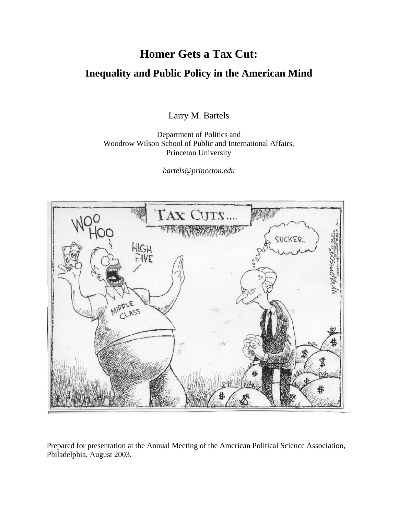# **Homer Gets a Tax Cut: Inequality and Public Policy in the American Mind**

Larry M. Bartels

Department of Politics and Woodrow Wilson School of Public and International Affairs, Princeton University

*bartels@princeton.edu*



Prepared for presentation at the Annual Meeting of the American Political Science Association, Philadelphia, August 2003.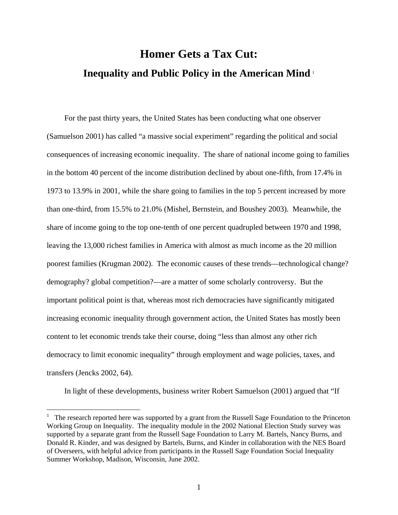# **Homer Gets a Tax Cut: Inequality and Public Policy in the American Mind** [1](#page-1-0)

For the past thirty years, the United States has been conducting what one observer (Samuelson 2001) has called "a massive social experiment" regarding the political and social consequences of increasing economic inequality. The share of national income going to families in the bottom 40 percent of the income distribution declined by about one-fifth, from 17.4% in 1973 to 13.9% in 2001, while the share going to families in the top 5 percent increased by more than one-third, from 15.5% to 21.0% (Mishel, Bernstein, and Boushey 2003). Meanwhile, the share of income going to the top one-tenth of one percent quadrupled between 1970 and 1998, leaving the 13,000 richest families in America with almost as much income as the 20 million poorest families (Krugman 2002). The economic causes of these trends—technological change? demography? global competition?—are a matter of some scholarly controversy. But the important political point is that, whereas most rich democracies have significantly mitigated increasing economic inequality through government action, the United States has mostly been content to let economic trends take their course, doing "less than almost any other rich democracy to limit economic inequality" through employment and wage policies, taxes, and transfers (Jencks 2002, 64).

In light of these developments, business writer Robert Samuelson (2001) argued that "If

<span id="page-1-0"></span><sup>1</sup> The research reported here was supported by a grant from the Russell Sage Foundation to the Princeton Working Group on Inequality. The inequality module in the 2002 National Election Study survey was supported by a separate grant from the Russell Sage Foundation to Larry M. Bartels, Nancy Burns, and Donald R. Kinder, and was designed by Bartels, Burns, and Kinder in collaboration with the NES Board of Overseers, with helpful advice from participants in the Russell Sage Foundation Social Inequality Summer Workshop, Madison, Wisconsin, June 2002.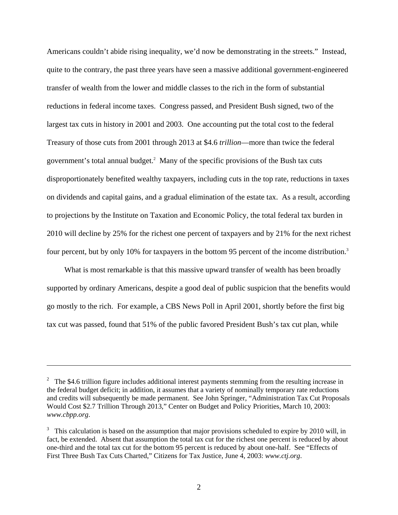Americans couldn't abide rising inequality, we'd now be demonstrating in the streets." Instead, quite to the contrary, the past three years have seen a massive additional government-engineered transfer of wealth from the lower and middle classes to the rich in the form of substantial reductions in federal income taxes. Congress passed, and President Bush signed, two of the largest tax cuts in history in 2001 and 2003. One accounting put the total cost to the federal Treasury of those cuts from 2001 through 2013 at \$4.6 *trillion*—more than twice the federal government's total annual budget[.2](#page-2-0) Many of the specific provisions of the Bush tax cuts disproportionately benefited wealthy taxpayers, including cuts in the top rate, reductions in taxes on dividends and capital gains, and a gradual elimination of the estate tax. As a result, according to projections by the Institute on Taxation and Economic Policy, the total federal tax burden in 2010 will decline by 25% for the richest one percent of taxpayers and by 21% for the next richest four percent, but by only 10% for taxpayers in the bottom 95 percent of the income distribution.<sup>3</sup>

What is most remarkable is that this massive upward transfer of wealth has been broadly supported by ordinary Americans, despite a good deal of public suspicion that the benefits would go mostly to the rich. For example, a CBS News Poll in April 2001, shortly before the first big tax cut was passed, found that 51% of the public favored President Bush's tax cut plan, while

<span id="page-2-0"></span><sup>&</sup>lt;sup>2</sup> The \$4.6 trillion figure includes additional interest payments stemming from the resulting increase in the federal budget deficit; in addition, it assumes that a variety of nominally temporary rate reductions and credits will subsequently be made permanent. See John Springer, "Administration Tax Cut Proposals Would Cost \$2.7 Trillion Through 2013," Center on Budget and Policy Priorities, March 10, 2003: *www.cbpp.org*.

<span id="page-2-1"></span> $3\,$  This calculation is based on the assumption that major provisions scheduled to expire by 2010 will, in fact, be extended. Absent that assumption the total tax cut for the richest one percent is reduced by about one-third and the total tax cut for the bottom 95 percent is reduced by about one-half. See "Effects of First Three Bush Tax Cuts Charted," Citizens for Tax Justice, June 4, 2003: *www.ctj.org*.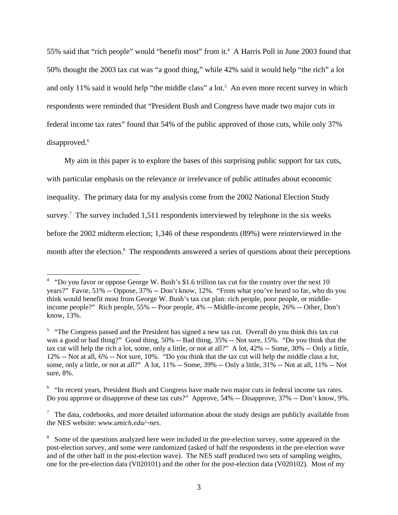55% said that "rich people" would "benefit most" from it.<sup>4</sup> A Harris Poll in June 2003 found that 50% thought the 2003 tax cut was "a good thing," while 42% said it would help "the rich" a lot andonly 11% said it would help "the middle class" a lot.<sup>5</sup> An even more recent survey in which respondents were reminded that "President Bush and Congress have made two major cuts in federal income tax rates" found that 54% of the public approved of those cuts, while only 37% disapproved.<sup>[6](#page-3-2)</sup>

My aim in this paper is to explore the bases of this surprising public support for tax cuts, with particular emphasis on the relevance or irrelevance of public attitudes about economic inequality. The primary data for my analysis come from the 2002 National Election Study survey.<sup>7</sup> The survey included 1,511 respondents interviewed by telephone in the six weeks before the 2002 midterm election; 1,346 of these respondents (89%) were reinterviewed in the monthafter the election.<sup>8</sup> The respondents answered a series of questions about their perceptions

<span id="page-3-0"></span><sup>&</sup>lt;sup>4</sup> "Do you favor or oppose George W. Bush's \$1.6 trillion tax cut for the country over the next 10 years?" Favor, 51% -- Oppose, 37% -- Don't know, 12%. "From what you've heard so far, who do you think would benefit most from George W. Bush's tax cut plan: rich people, poor people, or middleincome people?" Rich people, 55% -- Poor people, 4% -- Middle-income people, 26% -- Other, Don't know, 13%.

<span id="page-3-1"></span> $5$  "The Congress passed and the President has signed a new tax cut. Overall do you think this tax cut was a good or bad thing?" Good thing, 50% -- Bad thing, 35% -- Not sure, 15%. "Do you think that the tax cut will help the rich a lot, some, only a little, or not at all?" A lot, 42% -- Some, 30% -- Only a little, 12% -- Not at all, 6% -- Not sure, 10%. "Do you think that the tax cut will help the middle class a lot, some, only a little, or not at all?" A lot, 11% -- Some, 39% -- Only a little, 31% -- Not at all, 11% -- Not sure, 8%.

<span id="page-3-2"></span><sup>&</sup>lt;sup>6</sup> "In recent years, President Bush and Congress have made two major cuts in federal income tax rates. Do you approve or disapprove of these tax cuts?" Approve, 54% -- Disapprove, 37% -- Don't know, 9%.

<span id="page-3-3"></span> $<sup>7</sup>$  The data, codebooks, and more detailed information about the study design are publicly available from</sup> the NES website: *www.umich.edu/~nes*.

<span id="page-3-4"></span><sup>&</sup>lt;sup>8</sup> Some of the questions analyzed here were included in the pre-election survey, some appeared in the post-election survey, and some were randomized (asked of half the respondents in the pre-election wave and of the other half in the post-election wave). The NES staff produced two sets of sampling weights, one for the pre-election data (V020101) and the other for the post-election data (V020102). Most of my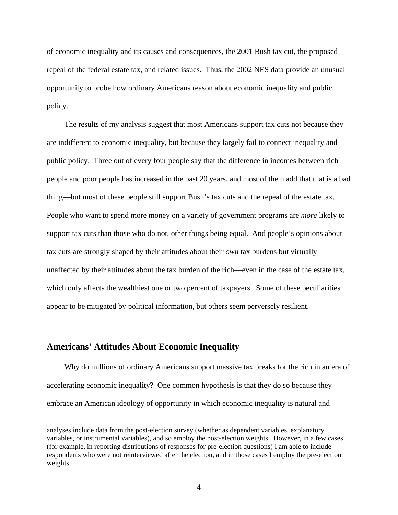of economic inequality and its causes and consequences, the 2001 Bush tax cut, the proposed repeal of the federal estate tax, and related issues. Thus, the 2002 NES data provide an unusual opportunity to probe how ordinary Americans reason about economic inequality and public policy.

The results of my analysis suggest that most Americans support tax cuts not because they are indifferent to economic inequality, but because they largely fail to connect inequality and public policy. Three out of every four people say that the difference in incomes between rich people and poor people has increased in the past 20 years, and most of them add that that is a bad thing—but most of these people still support Bush's tax cuts and the repeal of the estate tax. People who want to spend more money on a variety of government programs are *more* likely to support tax cuts than those who do not, other things being equal. And people's opinions about tax cuts are strongly shaped by their attitudes about their *own* tax burdens but virtually unaffected by their attitudes about the tax burden of the rich—even in the case of the estate tax, which only affects the wealthiest one or two percent of taxpayers. Some of these peculiarities appear to be mitigated by political information, but others seem perversely resilient.

#### **Americans' Attitudes About Economic Inequality**

 $\overline{a}$ 

Why do millions of ordinary Americans support massive tax breaks for the rich in an era of accelerating economic inequality? One common hypothesis is that they do so because they embrace an American ideology of opportunity in which economic inequality is natural and

analyses include data from the post-election survey (whether as dependent variables, explanatory variables, or instrumental variables), and so employ the post-election weights. However, in a few cases (for example, in reporting distributions of responses for pre-election questions) I am able to include respondents who were not reinterviewed after the election, and in those cases I employ the pre-election weights.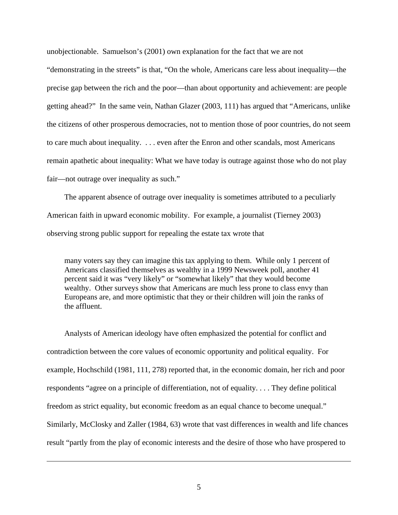unobjectionable. Samuelson's (2001) own explanation for the fact that we are not "demonstrating in the streets" is that, "On the whole, Americans care less about inequality—the precise gap between the rich and the poor—than about opportunity and achievement: are people getting ahead?" In the same vein, Nathan Glazer (2003, 111) has argued that "Americans, unlike the citizens of other prosperous democracies, not to mention those of poor countries, do not seem to care much about inequality. . . . even after the Enron and other scandals, most Americans remain apathetic about inequality: What we have today is outrage against those who do not play fair—not outrage over inequality as such."

The apparent absence of outrage over inequality is sometimes attributed to a peculiarly American faith in upward economic mobility. For example, a journalist (Tierney 2003) observing strong public support for repealing the estate tax wrote that

many voters say they can imagine this tax applying to them. While only 1 percent of Americans classified themselves as wealthy in a 1999 Newsweek poll, another 41 percent said it was "very likely" or "somewhat likely" that they would become wealthy. Other surveys show that Americans are much less prone to class envy than Europeans are, and more optimistic that they or their children will join the ranks of the affluent.

Analysts of American ideology have often emphasized the potential for conflict and contradiction between the core values of economic opportunity and political equality. For example, Hochschild (1981, 111, 278) reported that, in the economic domain, her rich and poor respondents "agree on a principle of differentiation, not of equality. . . . They define political freedom as strict equality, but economic freedom as an equal chance to become unequal." Similarly, McClosky and Zaller (1984, 63) wrote that vast differences in wealth and life chances result "partly from the play of economic interests and the desire of those who have prospered to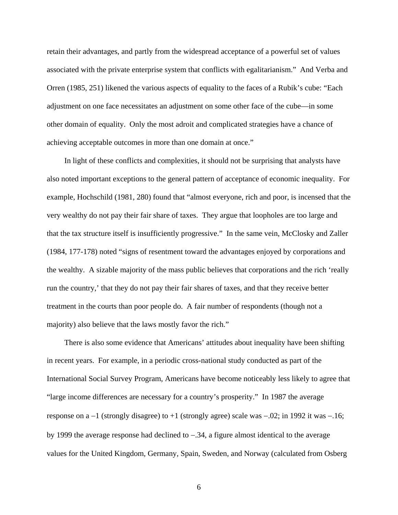retain their advantages, and partly from the widespread acceptance of a powerful set of values associated with the private enterprise system that conflicts with egalitarianism." And Verba and Orren (1985, 251) likened the various aspects of equality to the faces of a Rubik's cube: "Each adjustment on one face necessitates an adjustment on some other face of the cube—in some other domain of equality. Only the most adroit and complicated strategies have a chance of achieving acceptable outcomes in more than one domain at once."

In light of these conflicts and complexities, it should not be surprising that analysts have also noted important exceptions to the general pattern of acceptance of economic inequality. For example, Hochschild (1981, 280) found that "almost everyone, rich and poor, is incensed that the very wealthy do not pay their fair share of taxes. They argue that loopholes are too large and that the tax structure itself is insufficiently progressive." In the same vein, McClosky and Zaller (1984, 177-178) noted "signs of resentment toward the advantages enjoyed by corporations and the wealthy. A sizable majority of the mass public believes that corporations and the rich 'really run the country,' that they do not pay their fair shares of taxes, and that they receive better treatment in the courts than poor people do. A fair number of respondents (though not a majority) also believe that the laws mostly favor the rich."

There is also some evidence that Americans' attitudes about inequality have been shifting in recent years. For example, in a periodic cross-national study conducted as part of the International Social Survey Program, Americans have become noticeably less likely to agree that "large income differences are necessary for a country's prosperity." In 1987 the average response on a −1 (strongly disagree) to +1 (strongly agree) scale was −.02; in 1992 it was −.16; by 1999 the average response had declined to −.34, a figure almost identical to the average values for the United Kingdom, Germany, Spain, Sweden, and Norway (calculated from Osberg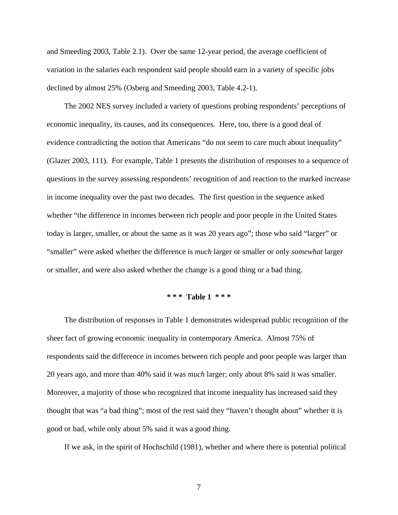and Smeeding 2003, Table 2.1). Over the same 12-year period, the average coefficient of variation in the salaries each respondent said people should earn in a variety of specific jobs declined by almost 25% (Osberg and Smeeding 2003, Table 4.2-1).

The 2002 NES survey included a variety of questions probing respondents' perceptions of economic inequality, its causes, and its consequences. Here, too, there is a good deal of evidence contradicting the notion that Americans "do not seem to care much about inequality" (Glazer 2003, 111). For example, Table 1 presents the distribution of responses to a sequence of questions in the survey assessing respondents' recognition of and reaction to the marked increase in income inequality over the past two decades. The first question in the sequence asked whether "the difference in incomes between rich people and poor people in the United States today is larger, smaller, or about the same as it was 20 years ago"; those who said "larger" or "smaller" were asked whether the difference is *much* larger or smaller or only *somewhat* larger or smaller, and were also asked whether the change is a good thing or a bad thing.

#### **\* \* \* Table 1 \* \* \***

The distribution of responses in Table 1 demonstrates widespread public recognition of the sheer fact of growing economic inequality in contemporary America. Almost 75% of respondents said the difference in incomes between rich people and poor people was larger than 20 years ago, and more than 40% said it was *much* larger; only about 8% said it was smaller. Moreover, a majority of those who recognized that income inequality has increased said they thought that was "a bad thing"; most of the rest said they "haven't thought about" whether it is good or bad, while only about 5% said it was a good thing.

If we ask, in the spirit of Hochschild (1981), whether and where there is potential political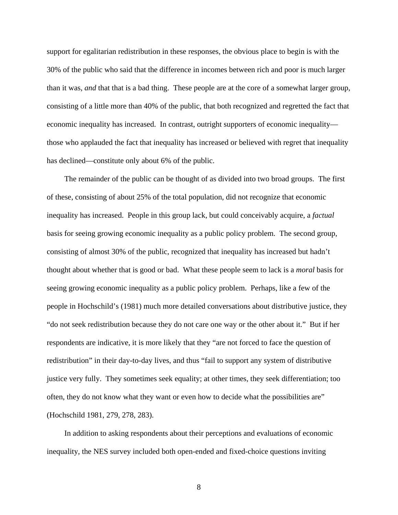support for egalitarian redistribution in these responses, the obvious place to begin is with the 30% of the public who said that the difference in incomes between rich and poor is much larger than it was, *and* that that is a bad thing. These people are at the core of a somewhat larger group, consisting of a little more than 40% of the public, that both recognized and regretted the fact that economic inequality has increased. In contrast, outright supporters of economic inequality those who applauded the fact that inequality has increased or believed with regret that inequality has declined—constitute only about 6% of the public.

The remainder of the public can be thought of as divided into two broad groups. The first of these, consisting of about 25% of the total population, did not recognize that economic inequality has increased. People in this group lack, but could conceivably acquire, a *factual* basis for seeing growing economic inequality as a public policy problem. The second group, consisting of almost 30% of the public, recognized that inequality has increased but hadn't thought about whether that is good or bad. What these people seem to lack is a *moral* basis for seeing growing economic inequality as a public policy problem. Perhaps, like a few of the people in Hochschild's (1981) much more detailed conversations about distributive justice, they "do not seek redistribution because they do not care one way or the other about it." But if her respondents are indicative, it is more likely that they "are not forced to face the question of redistribution" in their day-to-day lives, and thus "fail to support any system of distributive justice very fully. They sometimes seek equality; at other times, they seek differentiation; too often, they do not know what they want or even how to decide what the possibilities are" (Hochschild 1981, 279, 278, 283).

In addition to asking respondents about their perceptions and evaluations of economic inequality, the NES survey included both open-ended and fixed-choice questions inviting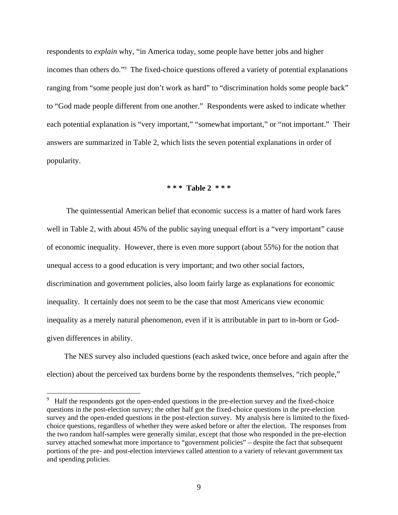respondents to *explain* why, "in America today, some people have better jobs and higher incomes than others do.["9](#page-9-0) The fixed-choice questions offered a variety of potential explanations ranging from "some people just don't work as hard" to "discrimination holds some people back" to "God made people different from one another." Respondents were asked to indicate whether each potential explanation is "very important," "somewhat important," or "not important." Their answers are summarized in Table 2, which lists the seven potential explanations in order of popularity.

### **\* \* \* Table 2 \* \* \***

 The quintessential American belief that economic success is a matter of hard work fares well in Table 2, with about 45% of the public saying unequal effort is a "very important" cause of economic inequality. However, there is even more support (about 55%) for the notion that unequal access to a good education is very important; and two other social factors, discrimination and government policies, also loom fairly large as explanations for economic inequality. It certainly does not seem to be the case that most Americans view economic inequality as a merely natural phenomenon, even if it is attributable in part to in-born or Godgiven differences in ability.

The NES survey also included questions (each asked twice, once before and again after the election) about the perceived tax burdens borne by the respondents themselves, "rich people,"

<span id="page-9-0"></span><sup>&</sup>lt;sup>9</sup> Half the respondents got the open-ended questions in the pre-election survey and the fixed-choice questions in the post-election survey; the other half got the fixed-choice questions in the pre-election survey and the open-ended questions in the post-election survey. My analysis here is limited to the fixedchoice questions, regardless of whether they were asked before or after the election. The responses from the two random half-samples were generally similar, except that those who responded in the pre-election survey attached somewhat more importance to "government policies" – despite the fact that subsequent portions of the pre- and post-election interviews called attention to a variety of relevant government tax and spending policies.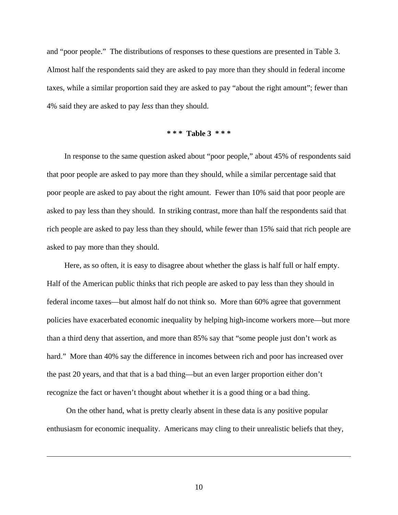and "poor people." The distributions of responses to these questions are presented in Table 3. Almost half the respondents said they are asked to pay more than they should in federal income taxes, while a similar proportion said they are asked to pay "about the right amount"; fewer than 4% said they are asked to pay *less* than they should.

#### **\* \* \* Table 3 \* \* \***

In response to the same question asked about "poor people," about 45% of respondents said that poor people are asked to pay more than they should, while a similar percentage said that poor people are asked to pay about the right amount. Fewer than 10% said that poor people are asked to pay less than they should. In striking contrast, more than half the respondents said that rich people are asked to pay less than they should, while fewer than 15% said that rich people are asked to pay more than they should.

Here, as so often, it is easy to disagree about whether the glass is half full or half empty. Half of the American public thinks that rich people are asked to pay less than they should in federal income taxes—but almost half do not think so. More than 60% agree that government policies have exacerbated economic inequality by helping high-income workers more—but more than a third deny that assertion, and more than 85% say that "some people just don't work as hard." More than 40% say the difference in incomes between rich and poor has increased over the past 20 years, and that that is a bad thing—but an even larger proportion either don't recognize the fact or haven't thought about whether it is a good thing or a bad thing.

 On the other hand, what is pretty clearly absent in these data is any positive popular enthusiasm for economic inequality. Americans may cling to their unrealistic beliefs that they,

 $\overline{a}$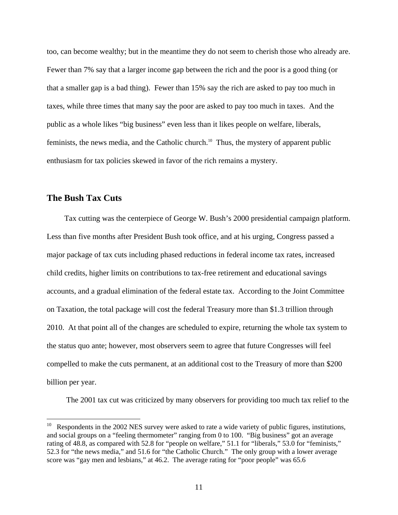too, can become wealthy; but in the meantime they do not seem to cherish those who already are. Fewer than 7% say that a larger income gap between the rich and the poor is a good thing (or that a smaller gap is a bad thing). Fewer than 15% say the rich are asked to pay too much in taxes, while three times that many say the poor are asked to pay too much in taxes. And the public as a whole likes "big business" even less than it likes people on welfare, liberals, feminists, the news media, and the Catholic church.<sup>10</sup> Thus, the mystery of apparent public enthusiasm for tax policies skewed in favor of the rich remains a mystery.

### **The Bush Tax Cuts**

 $\overline{a}$ 

Tax cutting was the centerpiece of George W. Bush's 2000 presidential campaign platform. Less than five months after President Bush took office, and at his urging, Congress passed a major package of tax cuts including phased reductions in federal income tax rates, increased child credits, higher limits on contributions to tax-free retirement and educational savings accounts, and a gradual elimination of the federal estate tax. According to the Joint Committee on Taxation, the total package will cost the federal Treasury more than \$1.3 trillion through 2010. At that point all of the changes are scheduled to expire, returning the whole tax system to the status quo ante; however, most observers seem to agree that future Congresses will feel compelled to make the cuts permanent, at an additional cost to the Treasury of more than \$200 billion per year.

The 2001 tax cut was criticized by many observers for providing too much tax relief to the

<span id="page-11-0"></span> $10$  Respondents in the 2002 NES survey were asked to rate a wide variety of public figures, institutions, and social groups on a "feeling thermometer" ranging from 0 to 100. "Big business" got an average rating of 48.8, as compared with 52.8 for "people on welfare," 51.1 for "liberals," 53.0 for "feminists," 52.3 for "the news media," and 51.6 for "the Catholic Church." The only group with a lower average score was "gay men and lesbians," at 46.2. The average rating for "poor people" was 65.6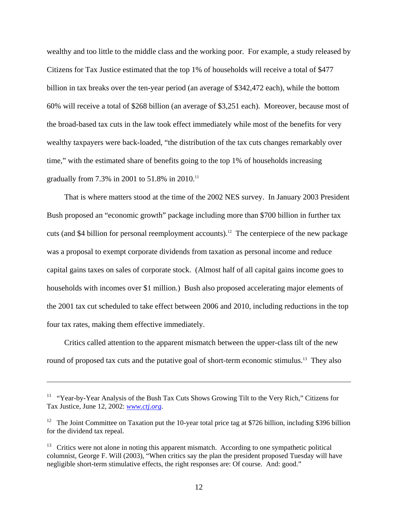wealthy and too little to the middle class and the working poor. For example, a study released by Citizens for Tax Justice estimated that the top 1% of households will receive a total of \$477 billion in tax breaks over the ten-year period (an average of \$342,472 each), while the bottom 60% will receive a total of \$268 billion (an average of \$3,251 each). Moreover, because most of the broad-based tax cuts in the law took effect immediately while most of the benefits for very wealthy taxpayers were back-loaded, "the distribution of the tax cuts changes remarkably over time," with the estimated share of benefits going to the top 1% of households increasing gradually from 7.3% in 2001 to 51.8% in 2010.[11](#page-12-0)

That is where matters stood at the time of the 2002 NES survey. In January 2003 President Bush proposed an "economic growth" package including more than \$700 billion in further tax cuts (and \$4 billion for personal reemployment accounts).<sup>12</sup> The centerpiece of the new package was a proposal to exempt corporate dividends from taxation as personal income and reduce capital gains taxes on sales of corporate stock. (Almost half of all capital gains income goes to households with incomes over \$1 million.) Bush also proposed accelerating major elements of the 2001 tax cut scheduled to take effect between 2006 and 2010, including reductions in the top four tax rates, making them effective immediately.

Critics called attention to the apparent mismatch between the upper-class tilt of the new round of proposed tax cuts and the putative goal of short-term economic stimulus.<sup>13</sup> They also

<span id="page-12-0"></span><sup>&</sup>lt;sup>11</sup> "Year-by-Year Analysis of the Bush Tax Cuts Shows Growing Tilt to the Very Rich," Citizens for Tax Justice, June 12, 2002: *[www.ctj.org](http://www.ctj.org/)*.

<span id="page-12-1"></span><sup>&</sup>lt;sup>12</sup> The Joint Committee on Taxation put the 10-year total price tag at \$726 billion, including \$396 billion for the dividend tax repeal.

<span id="page-12-2"></span><sup>&</sup>lt;sup>13</sup> Critics were not alone in noting this apparent mismatch. According to one sympathetic political columnist, George F. Will (2003), "When critics say the plan the president proposed Tuesday will have negligible short-term stimulative effects, the right responses are: Of course. And: good."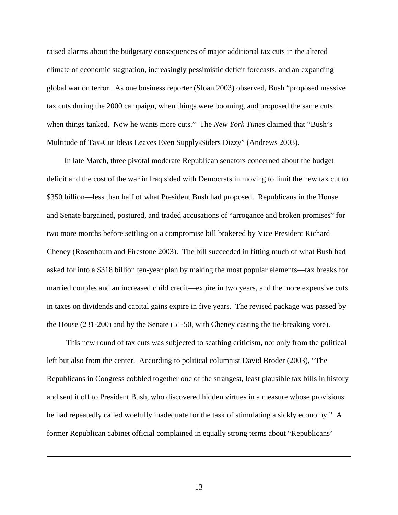raised alarms about the budgetary consequences of major additional tax cuts in the altered climate of economic stagnation, increasingly pessimistic deficit forecasts, and an expanding global war on terror. As one business reporter (Sloan 2003) observed, Bush "proposed massive tax cuts during the 2000 campaign, when things were booming, and proposed the same cuts when things tanked. Now he wants more cuts." The *New York Times* claimed that "Bush's Multitude of Tax-Cut Ideas Leaves Even Supply-Siders Dizzy" (Andrews 2003).

In late March, three pivotal moderate Republican senators concerned about the budget deficit and the cost of the war in Iraq sided with Democrats in moving to limit the new tax cut to \$350 billion—less than half of what President Bush had proposed. Republicans in the House and Senate bargained, postured, and traded accusations of "arrogance and broken promises" for two more months before settling on a compromise bill brokered by Vice President Richard Cheney (Rosenbaum and Firestone 2003). The bill succeeded in fitting much of what Bush had asked for into a \$318 billion ten-year plan by making the most popular elements—tax breaks for married couples and an increased child credit—expire in two years, and the more expensive cuts in taxes on dividends and capital gains expire in five years. The revised package was passed by the House (231-200) and by the Senate (51-50, with Cheney casting the tie-breaking vote).

 This new round of tax cuts was subjected to scathing criticism, not only from the political left but also from the center. According to political columnist David Broder (2003), "The Republicans in Congress cobbled together one of the strangest, least plausible tax bills in history and sent it off to President Bush, who discovered hidden virtues in a measure whose provisions he had repeatedly called woefully inadequate for the task of stimulating a sickly economy." A former Republican cabinet official complained in equally strong terms about "Republicans'

13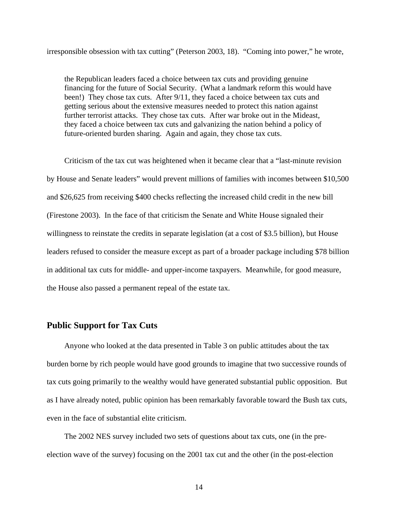irresponsible obsession with tax cutting" (Peterson 2003, 18). "Coming into power," he wrote,

the Republican leaders faced a choice between tax cuts and providing genuine financing for the future of Social Security. (What a landmark reform this would have been!) They chose tax cuts. After 9/11, they faced a choice between tax cuts and getting serious about the extensive measures needed to protect this nation against further terrorist attacks. They chose tax cuts. After war broke out in the Mideast, they faced a choice between tax cuts and galvanizing the nation behind a policy of future-oriented burden sharing. Again and again, they chose tax cuts.

Criticism of the tax cut was heightened when it became clear that a "last-minute revision by House and Senate leaders" would prevent millions of families with incomes between \$10,500 and \$26,625 from receiving \$400 checks reflecting the increased child credit in the new bill (Firestone 2003). In the face of that criticism the Senate and White House signaled their willingness to reinstate the credits in separate legislation (at a cost of \$3.5 billion), but House leaders refused to consider the measure except as part of a broader package including \$78 billion in additional tax cuts for middle- and upper-income taxpayers. Meanwhile, for good measure, the House also passed a permanent repeal of the estate tax.

### **Public Support for Tax Cuts**

Anyone who looked at the data presented in Table 3 on public attitudes about the tax burden borne by rich people would have good grounds to imagine that two successive rounds of tax cuts going primarily to the wealthy would have generated substantial public opposition. But as I have already noted, public opinion has been remarkably favorable toward the Bush tax cuts, even in the face of substantial elite criticism.

The 2002 NES survey included two sets of questions about tax cuts, one (in the preelection wave of the survey) focusing on the 2001 tax cut and the other (in the post-election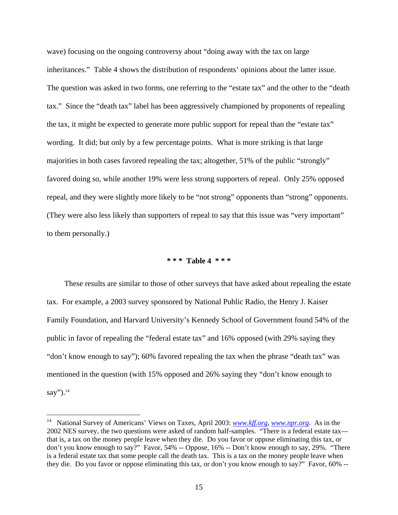wave) focusing on the ongoing controversy about "doing away with the tax on large inheritances." Table 4 shows the distribution of respondents' opinions about the latter issue. The question was asked in two forms, one referring to the "estate tax" and the other to the "death tax." Since the "death tax" label has been aggressively championed by proponents of repealing the tax, it might be expected to generate more public support for repeal than the "estate tax" wording. It did; but only by a few percentage points. What is more striking is that large majorities in both cases favored repealing the tax; altogether, 51% of the public "strongly" favored doing so, while another 19% were less strong supporters of repeal. Only 25% opposed repeal, and they were slightly more likely to be "not strong" opponents than "strong" opponents. (They were also less likely than supporters of repeal to say that this issue was "very important" to them personally.)

### **\* \* \* Table 4 \* \* \***

These results are similar to those of other surveys that have asked about repealing the estate tax. For example, a 2003 survey sponsored by National Public Radio, the Henry J. Kaiser Family Foundation, and Harvard University's Kennedy School of Government found 54% of the public in favor of repealing the "federal estate tax" and 16% opposed (with 29% saying they "don't know enough to say"); 60% favored repealing the tax when the phrase "death tax" was mentioned in the question (with 15% opposed and 26% saying they "don't know enough to say"). $^{14}$  $^{14}$  $^{14}$ 

<span id="page-15-0"></span><sup>14</sup> National Survey of Americans' Views on Taxes, April 2003: *[www.kff.org](http://www.kff.org/)*, *[www.npr.org](http://www.npr.org/)*. As in the 2002 NES survey, the two questions were asked of random half-samples. "There is a federal estate tax that is, a tax on the money people leave when they die. Do you favor or oppose eliminating this tax, or don't you know enough to say?" Favor, 54% -- Oppose, 16% -- Don't know enough to say, 29%. "There is a federal estate tax that some people call the death tax. This is a tax on the money people leave when they die. Do you favor or oppose eliminating this tax, or don't you know enough to say?" Favor, 60% --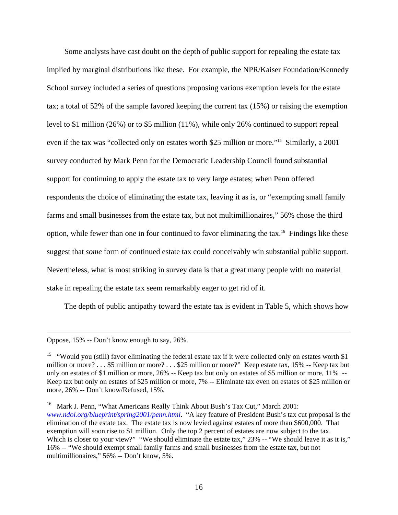Some analysts have cast doubt on the depth of public support for repealing the estate tax implied by marginal distributions like these. For example, the NPR/Kaiser Foundation/Kennedy School survey included a series of questions proposing various exemption levels for the estate tax; a total of 52% of the sample favored keeping the current tax (15%) or raising the exemption level to \$1 million (26%) or to \$5 million (11%), while only 26% continued to support repeal even if the tax was "collected only on estates worth \$25 million or more."[15](#page-16-0) Similarly, a 2001 survey conducted by Mark Penn for the Democratic Leadership Council found substantial support for continuing to apply the estate tax to very large estates; when Penn offered respondents the choice of eliminating the estate tax, leaving it as is, or "exempting small family farms and small businesses from the estate tax, but not multimillionaires," 56% chose the third option, while fewer than one in four continued to favor eliminating the tax[.16](#page-16-1) Findings like these suggest that *some* form of continued estate tax could conceivably win substantial public support. Nevertheless, what is most striking in survey data is that a great many people with no material stake in repealing the estate tax seem remarkably eager to get rid of it.

The depth of public antipathy toward the estate tax is evident in Table 5, which shows how

Oppose, 15% -- Don't know enough to say, 26%.

<span id="page-16-0"></span><sup>&</sup>lt;sup>15</sup> "Would you (still) favor eliminating the federal estate tax if it were collected only on estates worth \$1 million or more? . . . \$5 million or more? . . . \$25 million or more?" Keep estate tax, 15% -- Keep tax but only on estates of \$1 million or more, 26% -- Keep tax but only on estates of \$5 million or more, 11% -- Keep tax but only on estates of \$25 million or more, 7% -- Eliminate tax even on estates of \$25 million or more, 26% -- Don't know/Refused, 15%.

<span id="page-16-1"></span><sup>&</sup>lt;sup>16</sup> Mark J. Penn, "What Americans Really Think About Bush's Tax Cut," March 2001: *[www.ndol.org/blueprint/spring2001/penn.html](http://www.ndol.org/blueprint/spring2001/penn.html)*. "A key feature of President Bush's tax cut proposal is the elimination of the estate tax. The estate tax is now levied against estates of more than \$600,000. That exemption will soon rise to \$1 million. Only the top 2 percent of estates are now subject to the tax. Which is closer to your view?" "We should eliminate the estate tax," 23% -- "We should leave it as it is," 16% -- "We should exempt small family farms and small businesses from the estate tax, but not multimillionaires," 56% -- Don't know, 5%.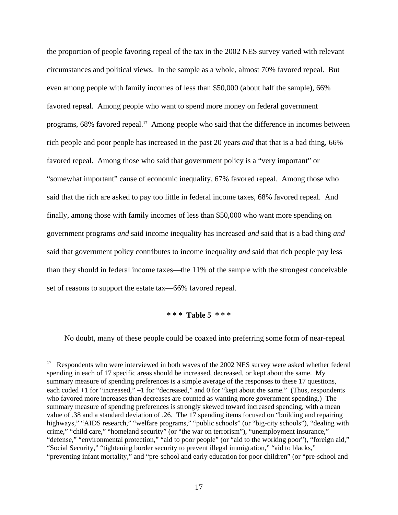the proportion of people favoring repeal of the tax in the 2002 NES survey varied with relevant circumstances and political views. In the sample as a whole, almost 70% favored repeal. But even among people with family incomes of less than \$50,000 (about half the sample), 66% favored repeal. Among people who want to spend more money on federal government programs, 68% favored repeal.<sup>17</sup> Among people who said that the difference in incomes between rich people and poor people has increased in the past 20 years *and* that that is a bad thing, 66% favored repeal. Among those who said that government policy is a "very important" or "somewhat important" cause of economic inequality, 67% favored repeal. Among those who said that the rich are asked to pay too little in federal income taxes, 68% favored repeal. And finally, among those with family incomes of less than \$50,000 who want more spending on government programs *and* said income inequality has increased *and* said that is a bad thing *and* said that government policy contributes to income inequality *and* said that rich people pay less than they should in federal income taxes—the 11% of the sample with the strongest conceivable set of reasons to support the estate tax—66% favored repeal.

#### **\* \* \* Table 5 \* \* \***

No doubt, many of these people could be coaxed into preferring some form of near-repeal

<span id="page-17-0"></span><sup>17</sup> Respondents who were interviewed in both waves of the 2002 NES survey were asked whether federal spending in each of 17 specific areas should be increased, decreased, or kept about the same. My summary measure of spending preferences is a simple average of the responses to these 17 questions, each coded +1 for "increased," −1 for "decreased," and 0 for "kept about the same." (Thus, respondents who favored more increases than decreases are counted as wanting more government spending.) The summary measure of spending preferences is strongly skewed toward increased spending, with a mean value of .38 and a standard deviation of .26. The 17 spending items focused on "building and repairing highways," "AIDS research," "welfare programs," "public schools" (or "big-city schools"), "dealing with crime," "child care," "homeland security" (or "the war on terrorism"), "unemployment insurance," "defense," "environmental protection," "aid to poor people" (or "aid to the working poor"), "foreign aid," "Social Security," "tightening border security to prevent illegal immigration," "aid to blacks," "preventing infant mortality," and "pre-school and early education for poor children" (or "pre-school and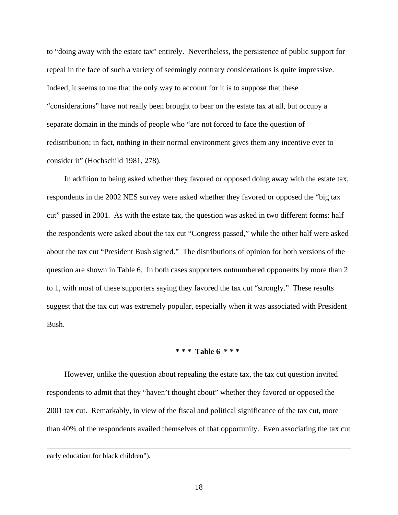to "doing away with the estate tax" entirely. Nevertheless, the persistence of public support for repeal in the face of such a variety of seemingly contrary considerations is quite impressive. Indeed, it seems to me that the only way to account for it is to suppose that these "considerations" have not really been brought to bear on the estate tax at all, but occupy a separate domain in the minds of people who "are not forced to face the question of redistribution; in fact, nothing in their normal environment gives them any incentive ever to consider it" (Hochschild 1981, 278).

In addition to being asked whether they favored or opposed doing away with the estate tax, respondents in the 2002 NES survey were asked whether they favored or opposed the "big tax cut" passed in 2001. As with the estate tax, the question was asked in two different forms: half the respondents were asked about the tax cut "Congress passed," while the other half were asked about the tax cut "President Bush signed." The distributions of opinion for both versions of the question are shown in Table 6. In both cases supporters outnumbered opponents by more than 2 to 1, with most of these supporters saying they favored the tax cut "strongly." These results suggest that the tax cut was extremely popular, especially when it was associated with President Bush.

### **\* \* \* Table 6 \* \* \***

However, unlike the question about repealing the estate tax, the tax cut question invited respondents to admit that they "haven't thought about" whether they favored or opposed the 2001 tax cut. Remarkably, in view of the fiscal and political significance of the tax cut, more than 40% of the respondents availed themselves of that opportunity. Even associating the tax cut

early education for black children").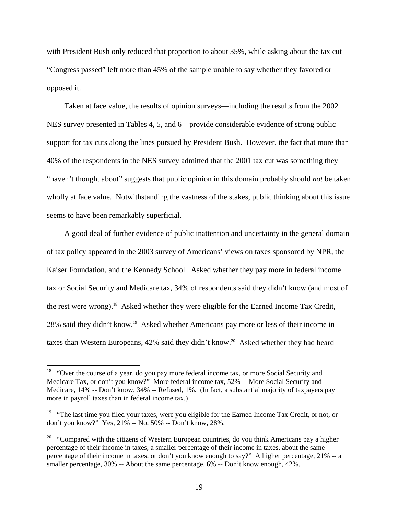with President Bush only reduced that proportion to about 35%, while asking about the tax cut "Congress passed" left more than 45% of the sample unable to say whether they favored or opposed it.

Taken at face value, the results of opinion surveys—including the results from the 2002 NES survey presented in Tables 4, 5, and 6—provide considerable evidence of strong public support for tax cuts along the lines pursued by President Bush. However, the fact that more than 40% of the respondents in the NES survey admitted that the 2001 tax cut was something they "haven't thought about" suggests that public opinion in this domain probably should *not* be taken wholly at face value. Notwithstanding the vastness of the stakes, public thinking about this issue seems to have been remarkably superficial.

A good deal of further evidence of public inattention and uncertainty in the general domain of tax policy appeared in the 2003 survey of Americans' views on taxes sponsored by NPR, the Kaiser Foundation, and the Kennedy School. Asked whether they pay more in federal income tax or Social Security and Medicare tax, 34% of respondents said they didn't know (and most of the rest were wrong)[.18](#page-19-0) Asked whether they were eligible for the Earned Income Tax Credit, 28% said they didn't know.[19](#page-19-1) Asked whether Americans pay more or less of their income in taxes than Western Europeans, 42% said they didn't know.<sup>20</sup> Asked whether they had heard

<span id="page-19-0"></span><sup>&</sup>lt;sup>18</sup> "Over the course of a year, do you pay more federal income tax, or more Social Security and Medicare Tax, or don't you know?" More federal income tax, 52% -- More Social Security and Medicare, 14% -- Don't know, 34% -- Refused, 1%. (In fact, a substantial majority of taxpayers pay more in payroll taxes than in federal income tax.)

<span id="page-19-1"></span><sup>&</sup>lt;sup>19</sup> "The last time you filed your taxes, were you eligible for the Earned Income Tax Credit, or not, or don't you know?" Yes, 21% -- No, 50% -- Don't know, 28%.

<span id="page-19-2"></span> $20$  "Compared with the citizens of Western European countries, do you think Americans pay a higher percentage of their income in taxes, a smaller percentage of their income in taxes, about the same percentage of their income in taxes, or don't you know enough to say?" A higher percentage, 21% -- a smaller percentage, 30% -- About the same percentage, 6% -- Don't know enough, 42%.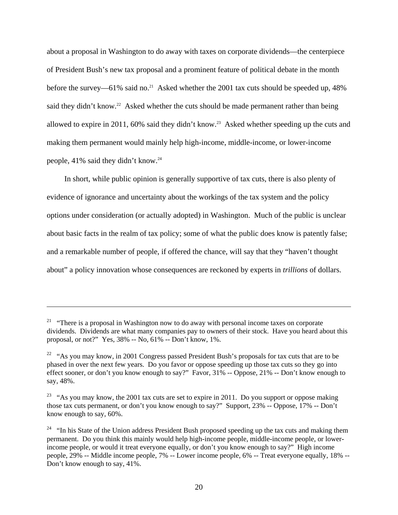about a proposal in Washington to do away with taxes on corporate dividends—the centerpiece of President Bush's new tax proposal and a prominent feature of political debate in the month before the survey—61% said no.<sup>21</sup> Asked whether the 2001 tax cuts should be speeded up, 48% said they didn't know.<sup>22</sup> Asked whether the cuts should be made permanent rather than being allowed to expire in 2011, 60% said they didn't know.<sup>23</sup> Asked whether speeding up the cuts and making them permanent would mainly help high-income, middle-income, or lower-income people, 41% said they didn't know[.24](#page-20-3)

In short, while public opinion is generally supportive of tax cuts, there is also plenty of evidence of ignorance and uncertainty about the workings of the tax system and the policy options under consideration (or actually adopted) in Washington. Much of the public is unclear about basic facts in the realm of tax policy; some of what the public does know is patently false; and a remarkable number of people, if offered the chance, will say that they "haven't thought about" a policy innovation whose consequences are reckoned by experts in *trillions* of dollars.

<span id="page-20-0"></span><sup>&</sup>lt;sup>21</sup> "There is a proposal in Washington now to do away with personal income taxes on corporate dividends. Dividends are what many companies pay to owners of their stock. Have you heard about this proposal, or not?" Yes, 38% -- No, 61% -- Don't know, 1%.

<span id="page-20-1"></span> $22$  "As you may know, in 2001 Congress passed President Bush's proposals for tax cuts that are to be phased in over the next few years. Do you favor or oppose speeding up those tax cuts so they go into effect sooner, or don't you know enough to say?" Favor, 31% -- Oppose, 21% -- Don't know enough to say, 48%.

<span id="page-20-2"></span><sup>&</sup>lt;sup>23</sup> "As you may know, the 2001 tax cuts are set to expire in 2011. Do you support or oppose making those tax cuts permanent, or don't you know enough to say?" Support, 23% -- Oppose, 17% -- Don't know enough to say, 60%.

<span id="page-20-3"></span> $24$  "In his State of the Union address President Bush proposed speeding up the tax cuts and making them permanent. Do you think this mainly would help high-income people, middle-income people, or lowerincome people, or would it treat everyone equally, or don't you know enough to say?" High income people, 29% -- Middle income people, 7% -- Lower income people, 6% -- Treat everyone equally, 18% -- Don't know enough to say, 41%.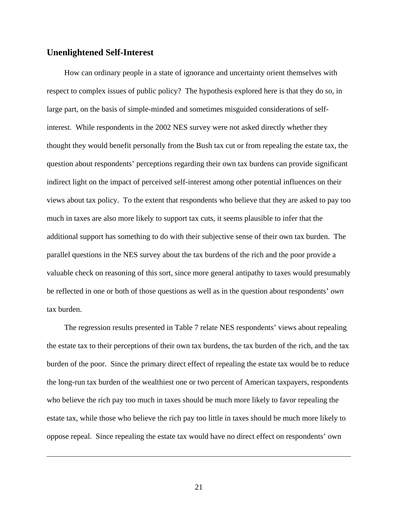#### **Unenlightened Self-Interest**

<u>.</u>

How can ordinary people in a state of ignorance and uncertainty orient themselves with respect to complex issues of public policy? The hypothesis explored here is that they do so, in large part, on the basis of simple-minded and sometimes misguided considerations of selfinterest. While respondents in the 2002 NES survey were not asked directly whether they thought they would benefit personally from the Bush tax cut or from repealing the estate tax, the question about respondents' perceptions regarding their own tax burdens can provide significant indirect light on the impact of perceived self-interest among other potential influences on their views about tax policy. To the extent that respondents who believe that they are asked to pay too much in taxes are also more likely to support tax cuts, it seems plausible to infer that the additional support has something to do with their subjective sense of their own tax burden. The parallel questions in the NES survey about the tax burdens of the rich and the poor provide a valuable check on reasoning of this sort, since more general antipathy to taxes would presumably be reflected in one or both of those questions as well as in the question about respondents' *own* tax burden.

The regression results presented in Table 7 relate NES respondents' views about repealing the estate tax to their perceptions of their own tax burdens, the tax burden of the rich, and the tax burden of the poor. Since the primary direct effect of repealing the estate tax would be to reduce the long-run tax burden of the wealthiest one or two percent of American taxpayers, respondents who believe the rich pay too much in taxes should be much more likely to favor repealing the estate tax, while those who believe the rich pay too little in taxes should be much more likely to oppose repeal. Since repealing the estate tax would have no direct effect on respondents' own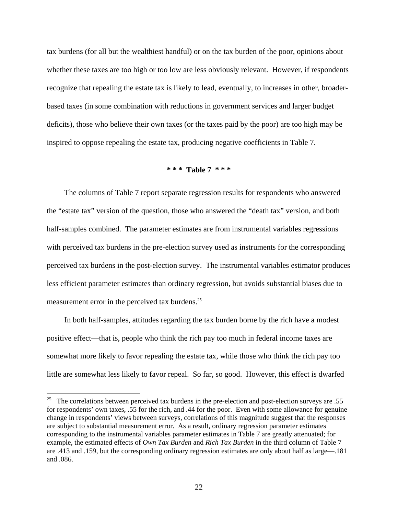tax burdens (for all but the wealthiest handful) or on the tax burden of the poor, opinions about whether these taxes are too high or too low are less obviously relevant. However, if respondents recognize that repealing the estate tax is likely to lead, eventually, to increases in other, broaderbased taxes (in some combination with reductions in government services and larger budget deficits), those who believe their own taxes (or the taxes paid by the poor) are too high may be inspired to oppose repealing the estate tax, producing negative coefficients in Table 7.

#### **\* \* \* Table 7 \* \* \***

The columns of Table 7 report separate regression results for respondents who answered the "estate tax" version of the question, those who answered the "death tax" version, and both half-samples combined. The parameter estimates are from instrumental variables regressions with perceived tax burdens in the pre-election survey used as instruments for the corresponding perceived tax burdens in the post-election survey. The instrumental variables estimator produces less efficient parameter estimates than ordinary regression, but avoids substantial biases due to measurement error in the perceived tax burdens.<sup>[25](#page-22-0)</sup>

In both half-samples, attitudes regarding the tax burden borne by the rich have a modest positive effect—that is, people who think the rich pay too much in federal income taxes are somewhat more likely to favor repealing the estate tax, while those who think the rich pay too little are somewhat less likely to favor repeal. So far, so good. However, this effect is dwarfed

<span id="page-22-0"></span><sup>&</sup>lt;sup>25</sup> The correlations between perceived tax burdens in the pre-election and post-election surveys are .55 for respondents' own taxes, .55 for the rich, and .44 for the poor. Even with some allowance for genuine change in respondents' views between surveys, correlations of this magnitude suggest that the responses are subject to substantial measurement error. As a result, ordinary regression parameter estimates corresponding to the instrumental variables parameter estimates in Table 7 are greatly attenuated; for example, the estimated effects of *Own Tax Burden* and *Rich Tax Burden* in the third column of Table 7 are .413 and .159, but the corresponding ordinary regression estimates are only about half as large—.181 and .086.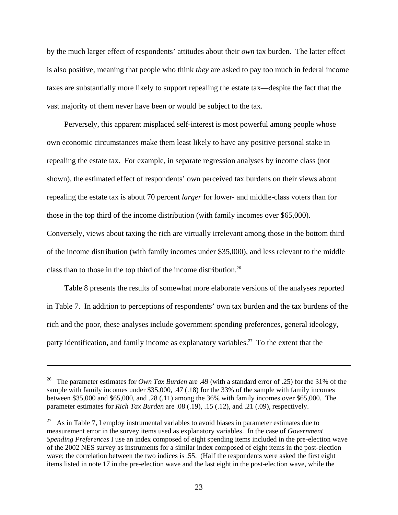by the much larger effect of respondents' attitudes about their *own* tax burden. The latter effect is also positive, meaning that people who think *they* are asked to pay too much in federal income taxes are substantially more likely to support repealing the estate tax—despite the fact that the vast majority of them never have been or would be subject to the tax.

Perversely, this apparent misplaced self-interest is most powerful among people whose own economic circumstances make them least likely to have any positive personal stake in repealing the estate tax. For example, in separate regression analyses by income class (not shown), the estimated effect of respondents' own perceived tax burdens on their views about repealing the estate tax is about 70 percent *larger* for lower- and middle-class voters than for those in the top third of the income distribution (with family incomes over \$65,000). Conversely, views about taxing the rich are virtually irrelevant among those in the bottom third of the income distribution (with family incomes under \$35,000), and less relevant to the middle class than to those in the top third of the income distribution.[26](#page-23-0) 

Table 8 presents the results of somewhat more elaborate versions of the analyses reported in Table 7. In addition to perceptions of respondents' own tax burden and the tax burdens of the rich and the poor, these analyses include government spending preferences, general ideology, party identification, and family income as explanatory variables.<sup>27</sup> To the extent that the

<span id="page-23-0"></span><sup>26</sup> The parameter estimates for *Own Tax Burden* are .49 (with a standard error of .25) for the 31% of the sample with family incomes under \$35,000, .47 (.18) for the 33% of the sample with family incomes between \$35,000 and \$65,000, and .28 (.11) among the 36% with family incomes over \$65,000. The parameter estimates for *Rich Tax Burden* are .08 (.19), .15 (.12), and .21 (.09), respectively.

<span id="page-23-1"></span><sup>27</sup> As in Table 7, I employ instrumental variables to avoid biases in parameter estimates due to measurement error in the survey items used as explanatory variables. In the case of *Government Spending Preferences* I use an index composed of eight spending items included in the pre-election wave of the 2002 NES survey as instruments for a similar index composed of eight items in the post-election wave; the correlation between the two indices is .55. (Half the respondents were asked the first eight items listed in note 17 in the pre-election wave and the last eight in the post-election wave, while the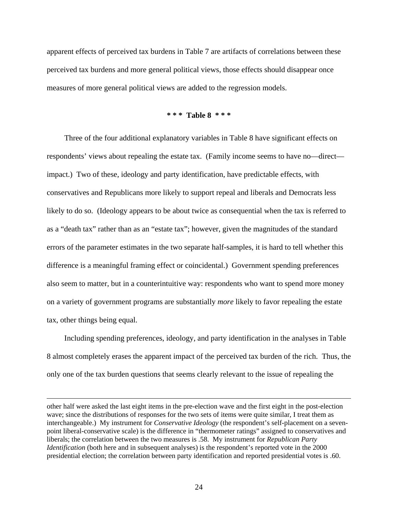apparent effects of perceived tax burdens in Table 7 are artifacts of correlations between these perceived tax burdens and more general political views, those effects should disappear once measures of more general political views are added to the regression models.

#### **\* \* \* Table 8 \* \* \***

Three of the four additional explanatory variables in Table 8 have significant effects on respondents' views about repealing the estate tax. (Family income seems to have no—direct impact.) Two of these, ideology and party identification, have predictable effects, with conservatives and Republicans more likely to support repeal and liberals and Democrats less likely to do so. (Ideology appears to be about twice as consequential when the tax is referred to as a "death tax" rather than as an "estate tax"; however, given the magnitudes of the standard errors of the parameter estimates in the two separate half-samples, it is hard to tell whether this difference is a meaningful framing effect or coincidental.) Government spending preferences also seem to matter, but in a counterintuitive way: respondents who want to spend more money on a variety of government programs are substantially *more* likely to favor repealing the estate tax, other things being equal.

Including spending preferences, ideology, and party identification in the analyses in Table 8 almost completely erases the apparent impact of the perceived tax burden of the rich. Thus, the only one of the tax burden questions that seems clearly relevant to the issue of repealing the

other half were asked the last eight items in the pre-election wave and the first eight in the post-election wave; since the distributions of responses for the two sets of items were quite similar, I treat them as interchangeable.) My instrument for *Conservative Ideology* (the respondent's self-placement on a sevenpoint liberal-conservative scale) is the difference in "thermometer ratings" assigned to conservatives and liberals; the correlation between the two measures is .58. My instrument for *Republican Party Identification* (both here and in subsequent analyses) is the respondent's reported vote in the 2000 presidential election; the correlation between party identification and reported presidential votes is .60.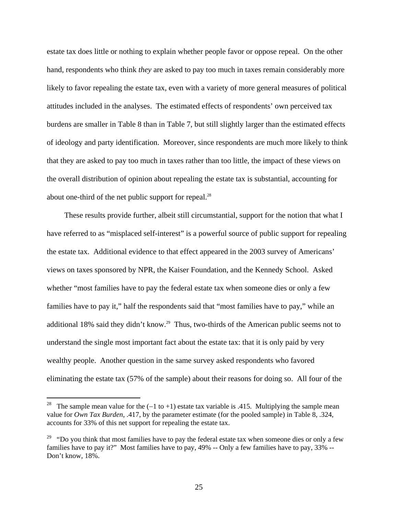estate tax does little or nothing to explain whether people favor or oppose repeal. On the other hand, respondents who think *they* are asked to pay too much in taxes remain considerably more likely to favor repealing the estate tax, even with a variety of more general measures of political attitudes included in the analyses. The estimated effects of respondents' own perceived tax burdens are smaller in Table 8 than in Table 7, but still slightly larger than the estimated effects of ideology and party identification. Moreover, since respondents are much more likely to think that they are asked to pay too much in taxes rather than too little, the impact of these views on the overall distribution of opinion about repealing the estate tax is substantial, accounting for about one-third of the net public support for repeal.<sup>[28](#page-25-0)</sup>

These results provide further, albeit still circumstantial, support for the notion that what I have referred to as "misplaced self-interest" is a powerful source of public support for repealing the estate tax. Additional evidence to that effect appeared in the 2003 survey of Americans' views on taxes sponsored by NPR, the Kaiser Foundation, and the Kennedy School. Asked whether "most families have to pay the federal estate tax when someone dies or only a few families have to pay it," half the respondents said that "most families have to pay," while an additional 18% said they didn't know.<sup>29</sup> Thus, two-thirds of the American public seems not to understand the single most important fact about the estate tax: that it is only paid by very wealthy people. Another question in the same survey asked respondents who favored eliminating the estate tax (57% of the sample) about their reasons for doing so. All four of the

<span id="page-25-0"></span><sup>&</sup>lt;sup>28</sup> The sample mean value for the  $(-1 \text{ to } +1)$  estate tax variable is .415. Multiplying the sample mean value for *Own Tax Burden*, .417, by the parameter estimate (for the pooled sample) in Table 8, .324, accounts for 33% of this net support for repealing the estate tax.

<span id="page-25-1"></span><sup>&</sup>lt;sup>29</sup> "Do you think that most families have to pay the federal estate tax when someone dies or only a few families have to pay it?" Most families have to pay, 49% -- Only a few families have to pay, 33% -- Don't know, 18%.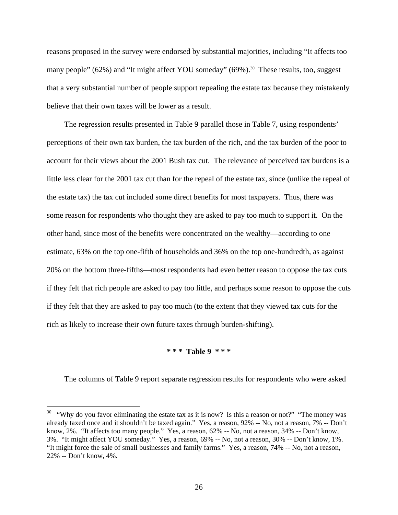reasons proposed in the survey were endorsed by substantial majorities, including "It affects too many people"  $(62\%)$  and "It might affect YOU someday"  $(69\%)$ <sup>30</sup>. These results, too, suggest that a very substantial number of people support repealing the estate tax because they mistakenly believe that their own taxes will be lower as a result.

The regression results presented in Table 9 parallel those in Table 7, using respondents' perceptions of their own tax burden, the tax burden of the rich, and the tax burden of the poor to account for their views about the 2001 Bush tax cut. The relevance of perceived tax burdens is a little less clear for the 2001 tax cut than for the repeal of the estate tax, since (unlike the repeal of the estate tax) the tax cut included some direct benefits for most taxpayers. Thus, there was some reason for respondents who thought they are asked to pay too much to support it. On the other hand, since most of the benefits were concentrated on the wealthy—according to one estimate, 63% on the top one-fifth of households and 36% on the top one-hundredth, as against 20% on the bottom three-fifths—most respondents had even better reason to oppose the tax cuts if they felt that rich people are asked to pay too little, and perhaps some reason to oppose the cuts if they felt that they are asked to pay too much (to the extent that they viewed tax cuts for the rich as likely to increase their own future taxes through burden-shifting).

#### **\* \* \* Table 9 \* \* \***

The columns of Table 9 report separate regression results for respondents who were asked

<span id="page-26-0"></span><sup>&</sup>lt;sup>30</sup> "Why do you favor eliminating the estate tax as it is now? Is this a reason or not?" "The money was already taxed once and it shouldn't be taxed again." Yes, a reason, 92% -- No, not a reason, 7% -- Don't know, 2%. "It affects too many people." Yes, a reason, 62% -- No, not a reason, 34% -- Don't know, 3%. "It might affect YOU someday." Yes, a reason, 69% -- No, not a reason, 30% -- Don't know, 1%. "It might force the sale of small businesses and family farms." Yes, a reason, 74% -- No, not a reason, 22% -- Don't know, 4%.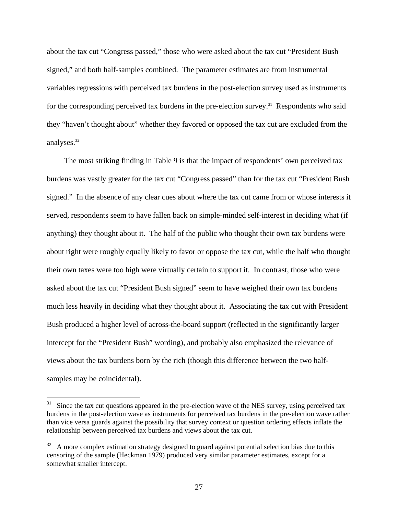about the tax cut "Congress passed," those who were asked about the tax cut "President Bush signed," and both half-samples combined. The parameter estimates are from instrumental variables regressions with perceived tax burdens in the post-election survey used as instruments for the corresponding perceived tax burdens in the pre-election survey.<sup>31</sup> Respondents who said they "haven't thought about" whether they favored or opposed the tax cut are excluded from the analyses.[32](#page-27-1)

The most striking finding in Table 9 is that the impact of respondents' own perceived tax burdens was vastly greater for the tax cut "Congress passed" than for the tax cut "President Bush signed." In the absence of any clear cues about where the tax cut came from or whose interests it served, respondents seem to have fallen back on simple-minded self-interest in deciding what (if anything) they thought about it. The half of the public who thought their own tax burdens were about right were roughly equally likely to favor or oppose the tax cut, while the half who thought their own taxes were too high were virtually certain to support it. In contrast, those who were asked about the tax cut "President Bush signed" seem to have weighed their own tax burdens much less heavily in deciding what they thought about it. Associating the tax cut with President Bush produced a higher level of across-the-board support (reflected in the significantly larger intercept for the "President Bush" wording), and probably also emphasized the relevance of views about the tax burdens born by the rich (though this difference between the two halfsamples may be coincidental).

<span id="page-27-0"></span>Since the tax cut questions appeared in the pre-election wave of the NES survey, using perceived tax burdens in the post-election wave as instruments for perceived tax burdens in the pre-election wave rather than vice versa guards against the possibility that survey context or question ordering effects inflate the relationship between perceived tax burdens and views about the tax cut.

<span id="page-27-1"></span> $32$  A more complex estimation strategy designed to guard against potential selection bias due to this censoring of the sample (Heckman 1979) produced very similar parameter estimates, except for a somewhat smaller intercept.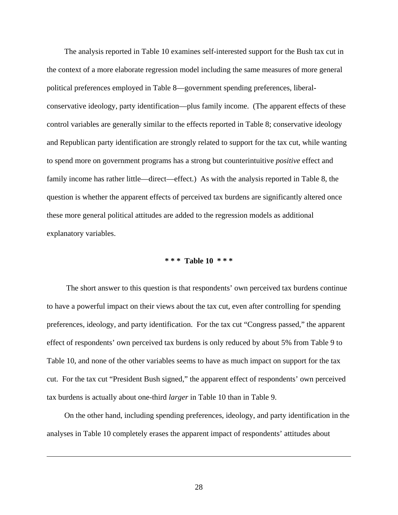The analysis reported in Table 10 examines self-interested support for the Bush tax cut in the context of a more elaborate regression model including the same measures of more general political preferences employed in Table 8—government spending preferences, liberalconservative ideology, party identification—plus family income. (The apparent effects of these control variables are generally similar to the effects reported in Table 8; conservative ideology and Republican party identification are strongly related to support for the tax cut, while wanting to spend more on government programs has a strong but counterintuitive *positive* effect and family income has rather little—direct—effect.) As with the analysis reported in Table 8, the question is whether the apparent effects of perceived tax burdens are significantly altered once these more general political attitudes are added to the regression models as additional explanatory variables.

#### **\* \* \* Table 10 \* \* \***

 The short answer to this question is that respondents' own perceived tax burdens continue to have a powerful impact on their views about the tax cut, even after controlling for spending preferences, ideology, and party identification. For the tax cut "Congress passed," the apparent effect of respondents' own perceived tax burdens is only reduced by about 5% from Table 9 to Table 10, and none of the other variables seems to have as much impact on support for the tax cut. For the tax cut "President Bush signed," the apparent effect of respondents' own perceived tax burdens is actually about one-third *larger* in Table 10 than in Table 9.

On the other hand, including spending preferences, ideology, and party identification in the analyses in Table 10 completely erases the apparent impact of respondents' attitudes about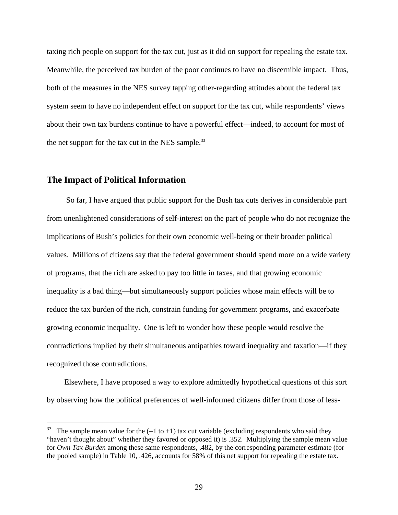taxing rich people on support for the tax cut, just as it did on support for repealing the estate tax. Meanwhile, the perceived tax burden of the poor continues to have no discernible impact. Thus, both of the measures in the NES survey tapping other-regarding attitudes about the federal tax system seem to have no independent effect on support for the tax cut, while respondents' views about their own tax burdens continue to have a powerful effect—indeed, to account for most of the net support for the tax cut in the NES sample. $33$ 

#### **The Impact of Political Information**

 $\overline{a}$ 

 So far, I have argued that public support for the Bush tax cuts derives in considerable part from unenlightened considerations of self-interest on the part of people who do not recognize the implications of Bush's policies for their own economic well-being or their broader political values. Millions of citizens say that the federal government should spend more on a wide variety of programs, that the rich are asked to pay too little in taxes, and that growing economic inequality is a bad thing—but simultaneously support policies whose main effects will be to reduce the tax burden of the rich, constrain funding for government programs, and exacerbate growing economic inequality. One is left to wonder how these people would resolve the contradictions implied by their simultaneous antipathies toward inequality and taxation—if they recognized those contradictions.

Elsewhere, I have proposed a way to explore admittedly hypothetical questions of this sort by observing how the political preferences of well-informed citizens differ from those of less-

<span id="page-29-0"></span><sup>33</sup> The sample mean value for the  $(-1 \text{ to } +1)$  tax cut variable (excluding respondents who said they "haven't thought about" whether they favored or opposed it) is .352. Multiplying the sample mean value for *Own Tax Burden* among these same respondents, .482, by the corresponding parameter estimate (for the pooled sample) in Table 10, .426, accounts for 58% of this net support for repealing the estate tax.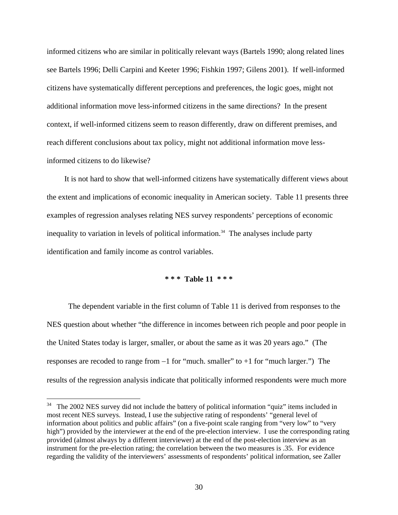informed citizens who are similar in politically relevant ways (Bartels 1990; along related lines see Bartels 1996; Delli Carpini and Keeter 1996; Fishkin 1997; Gilens 2001). If well-informed citizens have systematically different perceptions and preferences, the logic goes, might not additional information move less-informed citizens in the same directions? In the present context, if well-informed citizens seem to reason differently, draw on different premises, and reach different conclusions about tax policy, might not additional information move lessinformed citizens to do likewise?

It is not hard to show that well-informed citizens have systematically different views about the extent and implications of economic inequality in American society. Table 11 presents three examples of regression analyses relating NES survey respondents' perceptions of economic inequality to variation in levels of political information.<sup>34</sup> The analyses include party identification and family income as control variables.

### **\* \* \* Table 11 \* \* \***

 The dependent variable in the first column of Table 11 is derived from responses to the NES question about whether "the difference in incomes between rich people and poor people in the United States today is larger, smaller, or about the same as it was 20 years ago." (The responses are recoded to range from −1 for "much. smaller" to +1 for "much larger.") The results of the regression analysis indicate that politically informed respondents were much more

<span id="page-30-0"></span> $34$  The 2002 NES survey did not include the battery of political information "quiz" items included in most recent NES surveys. Instead, I use the subjective rating of respondents' "general level of information about politics and public affairs" (on a five-point scale ranging from "very low" to "very high") provided by the interviewer at the end of the pre-election interview. I use the corresponding rating provided (almost always by a different interviewer) at the end of the post-election interview as an instrument for the pre-election rating; the correlation between the two measures is .35. For evidence regarding the validity of the interviewers' assessments of respondents' political information, see Zaller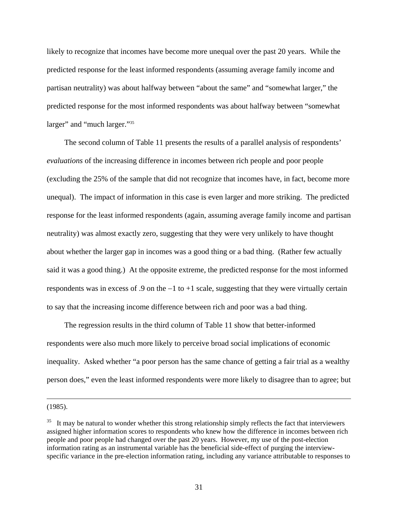likely to recognize that incomes have become more unequal over the past 20 years. While the predicted response for the least informed respondents (assuming average family income and partisan neutrality) was about halfway between "about the same" and "somewhat larger," the predicted response for the most informed respondents was about halfway between "somewhat larger" and "much larger."<sup>35</sup>

The second column of Table 11 presents the results of a parallel analysis of respondents' *evaluations* of the increasing difference in incomes between rich people and poor people (excluding the 25% of the sample that did not recognize that incomes have, in fact, become more unequal). The impact of information in this case is even larger and more striking. The predicted response for the least informed respondents (again, assuming average family income and partisan neutrality) was almost exactly zero, suggesting that they were very unlikely to have thought about whether the larger gap in incomes was a good thing or a bad thing. (Rather few actually said it was a good thing.) At the opposite extreme, the predicted response for the most informed respondents was in excess of .9 on the −1 to +1 scale, suggesting that they were virtually certain to say that the increasing income difference between rich and poor was a bad thing.

The regression results in the third column of Table 11 show that better-informed respondents were also much more likely to perceive broad social implications of economic inequality. Asked whether "a poor person has the same chance of getting a fair trial as a wealthy person does," even the least informed respondents were more likely to disagree than to agree; but

(1985).

<span id="page-31-0"></span> $35$  It may be natural to wonder whether this strong relationship simply reflects the fact that interviewers assigned higher information scores to respondents who knew how the difference in incomes between rich people and poor people had changed over the past 20 years. However, my use of the post-election information rating as an instrumental variable has the beneficial side-effect of purging the interviewspecific variance in the pre-election information rating, including any variance attributable to responses to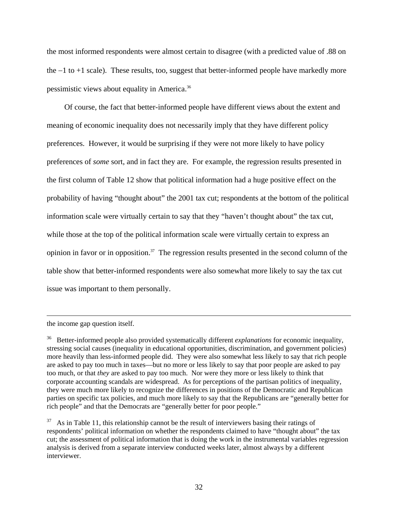the most informed respondents were almost certain to disagree (with a predicted value of .88 on the −1 to +1 scale). These results, too, suggest that better-informed people have markedly more pessimistic views about equality in America[.36](#page-32-0)

Of course, the fact that better-informed people have different views about the extent and meaning of economic inequality does not necessarily imply that they have different policy preferences. However, it would be surprising if they were not more likely to have policy preferences of *some* sort, and in fact they are. For example, the regression results presented in the first column of Table 12 show that political information had a huge positive effect on the probability of having "thought about" the 2001 tax cut; respondents at the bottom of the political information scale were virtually certain to say that they "haven't thought about" the tax cut, while those at the top of the political information scale were virtually certain to express an opinion in favor or in opposition.[37](#page-32-1) The regression results presented in the second column of the table show that better-informed respondents were also somewhat more likely to say the tax cut issue was important to them personally.

the income gap question itself.

<span id="page-32-0"></span><sup>36</sup> Better-informed people also provided systematically different *explanations* for economic inequality, stressing social causes (inequality in educational opportunities, discrimination, and government policies) more heavily than less-informed people did. They were also somewhat less likely to say that rich people are asked to pay too much in taxes—but no more or less likely to say that poor people are asked to pay too much, or that *they* are asked to pay too much. Nor were they more or less likely to think that corporate accounting scandals are widespread. As for perceptions of the partisan politics of inequality, they were much more likely to recognize the differences in positions of the Democratic and Republican parties on specific tax policies, and much more likely to say that the Republicans are "generally better for rich people" and that the Democrats are "generally better for poor people."

<span id="page-32-1"></span> $37$  As in Table 11, this relationship cannot be the result of interviewers basing their ratings of respondents' political information on whether the respondents claimed to have "thought about" the tax cut; the assessment of political information that is doing the work in the instrumental variables regression analysis is derived from a separate interview conducted weeks later, almost always by a different interviewer.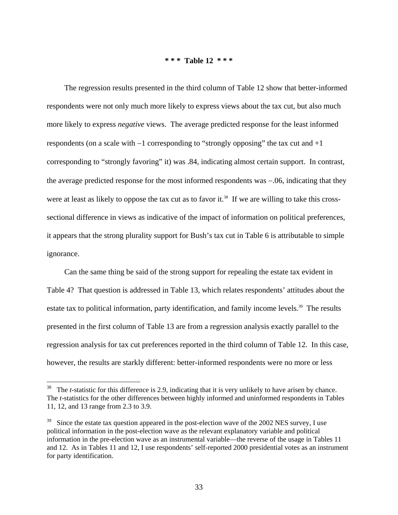#### **\* \* \* Table 12 \* \* \***

The regression results presented in the third column of Table 12 show that better-informed respondents were not only much more likely to express views about the tax cut, but also much more likely to express *negative* views. The average predicted response for the least informed respondents (on a scale with −1 corresponding to "strongly opposing" the tax cut and +1 corresponding to "strongly favoring" it) was .84, indicating almost certain support. In contrast, the average predicted response for the most informed respondents was −.06, indicating that they were at least as likely to oppose the tax cut as to favor it.<sup>38</sup> If we are willing to take this crosssectional difference in views as indicative of the impact of information on political preferences, it appears that the strong plurality support for Bush's tax cut in Table 6 is attributable to simple ignorance.

Can the same thing be said of the strong support for repealing the estate tax evident in Table 4? That question is addressed in Table 13, which relates respondents' attitudes about the estate tax to political information, party identification, and family income levels.<sup>39</sup> The results presented in the first column of Table 13 are from a regression analysis exactly parallel to the regression analysis for tax cut preferences reported in the third column of Table 12. In this case, however, the results are starkly different: better-informed respondents were no more or less

<span id="page-33-0"></span><sup>&</sup>lt;sup>38</sup> The *t*-statistic for this difference is 2.9, indicating that it is very unlikely to have arisen by chance. The *t*-statistics for the other differences between highly informed and uninformed respondents in Tables 11, 12, and 13 range from 2.3 to 3.9.

<span id="page-33-1"></span> $39$  Since the estate tax question appeared in the post-election wave of the 2002 NES survey, I use political information in the post-election wave as the relevant explanatory variable and political information in the pre-election wave as an instrumental variable—the reverse of the usage in Tables 11 and 12. As in Tables 11 and 12, I use respondents' self-reported 2000 presidential votes as an instrument for party identification.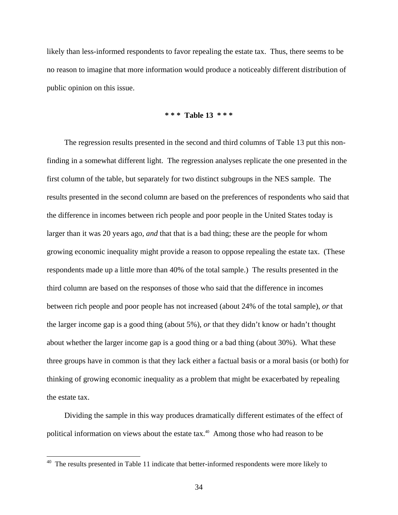likely than less-informed respondents to favor repealing the estate tax. Thus, there seems to be no reason to imagine that more information would produce a noticeably different distribution of public opinion on this issue.

#### **\* \* \* Table 13 \* \* \***

The regression results presented in the second and third columns of Table 13 put this nonfinding in a somewhat different light. The regression analyses replicate the one presented in the first column of the table, but separately for two distinct subgroups in the NES sample. The results presented in the second column are based on the preferences of respondents who said that the difference in incomes between rich people and poor people in the United States today is larger than it was 20 years ago, *and* that that is a bad thing; these are the people for whom growing economic inequality might provide a reason to oppose repealing the estate tax. (These respondents made up a little more than 40% of the total sample.) The results presented in the third column are based on the responses of those who said that the difference in incomes between rich people and poor people has not increased (about 24% of the total sample), *or* that the larger income gap is a good thing (about 5%), *or* that they didn't know or hadn't thought about whether the larger income gap is a good thing or a bad thing (about 30%). What these three groups have in common is that they lack either a factual basis or a moral basis (or both) for thinking of growing economic inequality as a problem that might be exacerbated by repealing the estate tax.

Dividing the sample in this way produces dramatically different estimates of the effect of political information on views about the estate tax.<sup>40</sup> Among those who had reason to be

<u>.</u>

<span id="page-34-0"></span> $40$  The results presented in Table 11 indicate that better-informed respondents were more likely to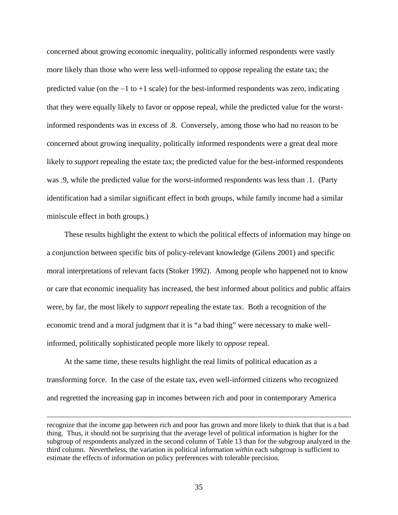concerned about growing economic inequality, politically informed respondents were vastly more likely than those who were less well-informed to oppose repealing the estate tax; the predicted value (on the −1 to +1 scale) for the best-informed respondents was zero, indicating that they were equally likely to favor or oppose repeal, while the predicted value for the worstinformed respondents was in excess of .8. Conversely, among those who had no reason to be concerned about growing inequality, politically informed respondents were a great deal more likely to *support* repealing the estate tax; the predicted value for the best-informed respondents was .9, while the predicted value for the worst-informed respondents was less than .1. (Party identification had a similar significant effect in both groups, while family income had a similar miniscule effect in both groups.)

These results highlight the extent to which the political effects of information may hinge on a conjunction between specific bits of policy-relevant knowledge (Gilens 2001) and specific moral interpretations of relevant facts (Stoker 1992). Among people who happened not to know or care that economic inequality has increased, the best informed about politics and public affairs were, by far, the most likely to *support* repealing the estate tax. Both a recognition of the economic trend and a moral judgment that it is "a bad thing" were necessary to make wellinformed, politically sophisticated people more likely to *oppose* repeal.

At the same time, these results highlight the real limits of political education as a transforming force. In the case of the estate tax, even well-informed citizens who recognized and regretted the increasing gap in incomes between rich and poor in contemporary America

recognize that the income gap between rich and poor has grown and more likely to think that that is a bad thing. Thus, it should not be surprising that the average level of political information is higher for the subgroup of respondents analyzed in the second column of Table 13 than for the subgroup analyzed in the third column. Nevertheless, the variation in political information *within* each subgroup is sufficient to estimate the effects of information on policy preferences with tolerable precision.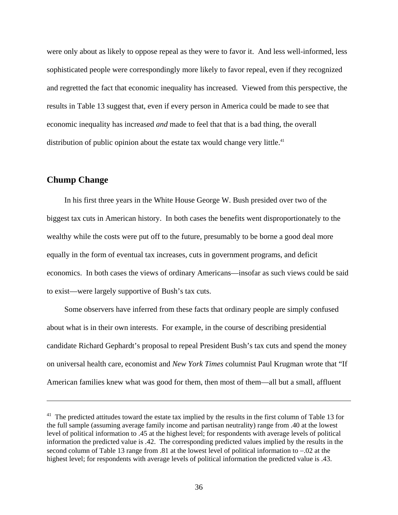were only about as likely to oppose repeal as they were to favor it. And less well-informed, less sophisticated people were correspondingly more likely to favor repeal, even if they recognized and regretted the fact that economic inequality has increased. Viewed from this perspective, the results in Table 13 suggest that, even if every person in America could be made to see that economic inequality has increased *and* made to feel that that is a bad thing, the overall distribution of public opinion about the estate tax would change very little.<sup>41</sup>

### **Chump Change**

 $\overline{a}$ 

In his first three years in the White House George W. Bush presided over two of the biggest tax cuts in American history. In both cases the benefits went disproportionately to the wealthy while the costs were put off to the future, presumably to be borne a good deal more equally in the form of eventual tax increases, cuts in government programs, and deficit economics. In both cases the views of ordinary Americans—insofar as such views could be said to exist—were largely supportive of Bush's tax cuts.

Some observers have inferred from these facts that ordinary people are simply confused about what is in their own interests. For example, in the course of describing presidential candidate Richard Gephardt's proposal to repeal President Bush's tax cuts and spend the money on universal health care, economist and *New York Times* columnist Paul Krugman wrote that "If American families knew what was good for them, then most of them—all but a small, affluent

<span id="page-36-0"></span> $41$  The predicted attitudes toward the estate tax implied by the results in the first column of Table 13 for the full sample (assuming average family income and partisan neutrality) range from .40 at the lowest level of political information to .45 at the highest level; for respondents with average levels of political information the predicted value is .42. The corresponding predicted values implied by the results in the second column of Table 13 range from .81 at the lowest level of political information to −.02 at the highest level; for respondents with average levels of political information the predicted value is .43.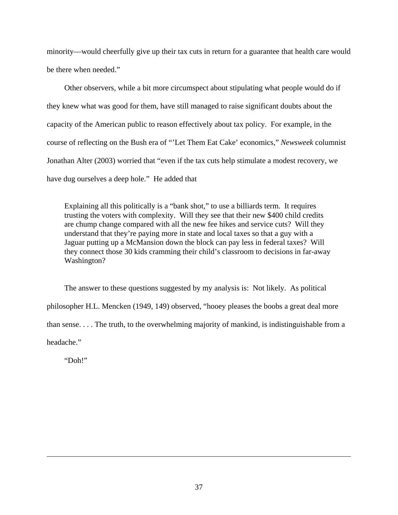minority—would cheerfully give up their tax cuts in return for a guarantee that health care would be there when needed."

Other observers, while a bit more circumspect about stipulating what people would do if they knew what was good for them, have still managed to raise significant doubts about the capacity of the American public to reason effectively about tax policy. For example, in the course of reflecting on the Bush era of "'Let Them Eat Cake' economics," *Newsweek* columnist Jonathan Alter (2003) worried that "even if the tax cuts help stimulate a modest recovery, we have dug ourselves a deep hole." He added that

Explaining all this politically is a "bank shot," to use a billiards term. It requires trusting the voters with complexity. Will they see that their new \$400 child credits are chump change compared with all the new fee hikes and service cuts? Will they understand that they're paying more in state and local taxes so that a guy with a Jaguar putting up a McMansion down the block can pay less in federal taxes? Will they connect those 30 kids cramming their child's classroom to decisions in far-away Washington?

The answer to these questions suggested by my analysis is: Not likely. As political philosopher H.L. Mencken (1949, 149) observed, "hooey pleases the boobs a great deal more than sense. . . . The truth, to the overwhelming majority of mankind, is indistinguishable from a headache."

"Doh!"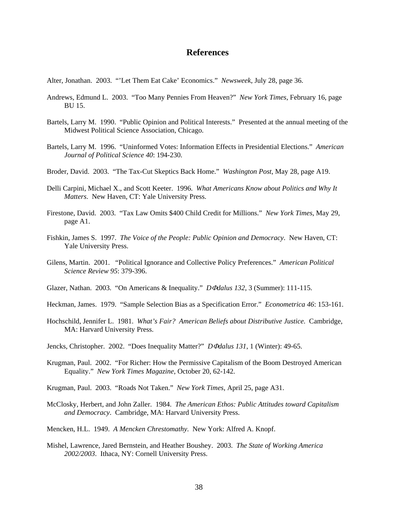### **References**

Alter, Jonathan. 2003. "'Let Them Eat Cake' Economics." *Newsweek*, July 28, page 36.

- Andrews, Edmund L. 2003. "Too Many Pennies From Heaven?" *New York Times*, February 16, page BU 15.
- Bartels, Larry M. 1990. "Public Opinion and Political Interests." Presented at the annual meeting of the Midwest Political Science Association, Chicago.
- Bartels, Larry M. 1996. "Uninformed Votes: Information Effects in Presidential Elections." *American Journal of Political Science 40*: 194-230.
- Broder, David. 2003. "The Tax-Cut Skeptics Back Home." *Washington Post*, May 28, page A19.
- Delli Carpini, Michael X., and Scott Keeter. 1996. *What Americans Know about Politics and Why It Matters*. New Haven, CT: Yale University Press.
- Firestone, David. 2003. "Tax Law Omits \$400 Child Credit for Millions." *New York Times*, May 29, page A1.
- Fishkin, James S. 1997. *The Voice of the People: Public Opinion and Democracy*. New Haven, CT: Yale University Press.
- Gilens, Martin. 2001. "Political Ignorance and Collective Policy Preferences." *American Political Science Review 95*: 379-396.
- Glazer, Nathan. 2003. "On Americans & Inequality." *D*Φ*dalus 132*, 3 (Summer): 111-115.
- Heckman, James. 1979. "Sample Selection Bias as a Specification Error." *Econometrica 46*: 153-161.
- Hochschild, Jennifer L. 1981. *What's Fair? American Beliefs about Distributive Justice*. Cambridge, MA: Harvard University Press.
- Jencks, Christopher. 2002. "Does Inequality Matter?" *D*Φ*dalus 131*, 1 (Winter): 49-65.
- Krugman, Paul. 2002. "For Richer: How the Permissive Capitalism of the Boom Destroyed American Equality." *New York Times Magazine*, October 20, 62-142.
- Krugman, Paul. 2003. "Roads Not Taken." *New York Times*, April 25, page A31.
- McClosky, Herbert, and John Zaller. 1984. *The American Ethos: Public Attitudes toward Capitalism and Democracy*. Cambridge, MA: Harvard University Press.
- Mencken, H.L. 1949. *A Mencken Chrestomathy*. New York: Alfred A. Knopf.
- Mishel, Lawrence, Jared Bernstein, and Heather Boushey. 2003. *The State of Working America 2002/2003*. Ithaca, NY: Cornell University Press.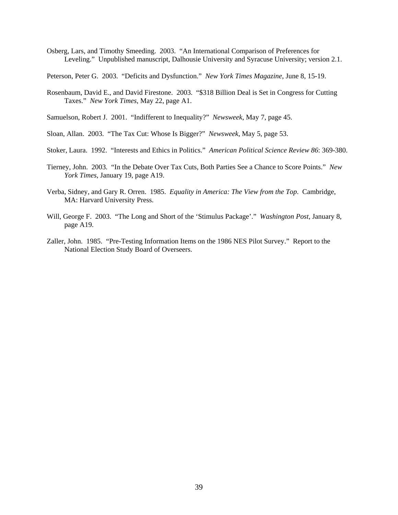Osberg, Lars, and Timothy Smeeding. 2003. "An International Comparison of Preferences for Leveling." Unpublished manuscript, Dalhousie University and Syracuse University; version 2.1.

Peterson, Peter G. 2003. "Deficits and Dysfunction." *New York Times Magazine*, June 8, 15-19.

- Rosenbaum, David E., and David Firestone. 2003. "\$318 Billion Deal is Set in Congress for Cutting Taxes." *New York Times*, May 22, page A1.
- Samuelson, Robert J. 2001. "Indifferent to Inequality?" *Newsweek*, May 7, page 45.
- Sloan, Allan. 2003. "The Tax Cut: Whose Is Bigger?" *Newsweek*, May 5, page 53.
- Stoker, Laura. 1992. "Interests and Ethics in Politics." *American Political Science Review 86*: 369-380.
- Tierney, John. 2003. "In the Debate Over Tax Cuts, Both Parties See a Chance to Score Points." *New York Times*, January 19, page A19.
- Verba, Sidney, and Gary R. Orren. 1985. *Equality in America: The View from the Top*. Cambridge, MA: Harvard University Press.
- Will, George F. 2003. "The Long and Short of the 'Stimulus Package'." *Washington Post*, January 8, page A19.
- Zaller, John. 1985. "Pre-Testing Information Items on the 1986 NES Pilot Survey." Report to the National Election Study Board of Overseers.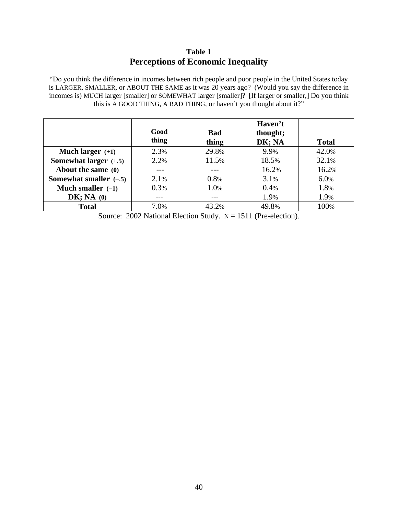# **Table 1 Perceptions of Economic Inequality**

"Do you think the difference in incomes between rich people and poor people in the United States today is LARGER, SMALLER, or ABOUT THE SAME as it was 20 years ago? (Would you say the difference in incomes is) MUCH larger [smaller] or SOMEWHAT larger [smaller]? [If larger or smaller,] Do you think this is A GOOD THING, A BAD THING, or haven't you thought about it?"

|                          | Good  |                     | Haven't            |              |
|--------------------------|-------|---------------------|--------------------|--------------|
|                          | thing | <b>Bad</b><br>thing | thought;<br>DK; NA | <b>Total</b> |
| Much larger $(+1)$       | 2.3%  | 29.8%               | 9.9%               | 42.0%        |
| Somewhat larger $(+.5)$  | 2.2%  | 11.5%               | 18.5%              | 32.1%        |
| About the same (0)       |       |                     | 16.2%              | 16.2%        |
| Somewhat smaller $(-.5)$ | 2.1%  | 0.8%                | 3.1%               | 6.0%         |
| Much smaller $(-1)$      | 0.3%  | 1.0%                | 0.4%               | 1.8%         |
| DK; NA(0)                |       |                     | 1.9%               | 1.9%         |
| <b>Total</b>             | 7.0%  | 43.2%               | 49.8%              | 100%         |

Source: 2002 National Election Study.  $N = 1511$  (Pre-election).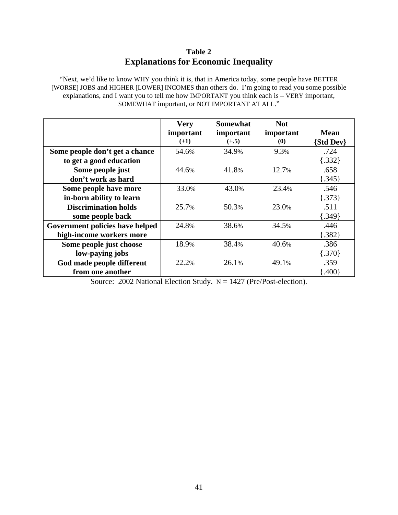# **Table 2 Explanations for Economic Inequality**

"Next, we'd like to know WHY you think it is, that in America today, some people have BETTER [WORSE] JOBS and HIGHER [LOWER] INCOMES than others do. I'm going to read you some possible explanations, and I want you to tell me how IMPORTANT you think each is – VERY important, SOMEWHAT important, or NOT IMPORTANT AT ALL."

|                                 | <b>Very</b> | Somewhat  | <b>Not</b>            |             |
|---------------------------------|-------------|-----------|-----------------------|-------------|
|                                 | important   | important | important             | <b>Mean</b> |
|                                 | $(+1)$      | $(+.5)$   | $\boldsymbol{\theta}$ | {Std Dev}   |
| Some people don't get a chance  | 54.6%       | 34.9%     | 9.3%                  | .724        |
| to get a good education         |             |           |                       | [.332]      |
| Some people just                | 44.6%       | 41.8%     | 12.7%                 | .658        |
| don't work as hard              |             |           |                       | ${345}$     |
| Some people have more           | 33.0%       | 43.0%     | 23.4%                 | .546        |
| in-born ability to learn        |             |           |                       | ${373}$     |
| <b>Discrimination holds</b>     | 25.7%       | 50.3%     | 23.0%                 | .511        |
| some people back                |             |           |                       | [.349]      |
| Government policies have helped | 24.8%       | 38.6%     | 34.5%                 | .446        |
| high-income workers more        |             |           |                       | [.382]      |
| Some people just choose         | 18.9%       | 38.4%     | 40.6%                 | .386        |
| low-paying jobs                 |             |           |                       | $\{.370\}$  |
| God made people different       | 22.2%       | 26.1%     | 49.1%                 | .359        |
| from one another                |             |           |                       | (.400)      |

Source: 2002 National Election Study. N = 1427 (Pre/Post-election).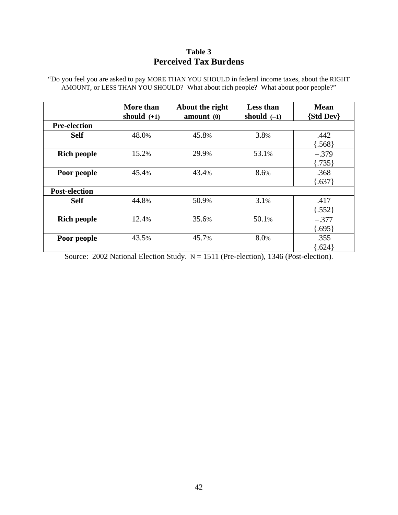# **Table 3 Perceived Tax Burdens**

"Do you feel you are asked to pay MORE THAN YOU SHOULD in federal income taxes, about the RIGHT AMOUNT, or LESS THAN YOU SHOULD? What about rich people? What about poor people?"

|                      | More than<br>should $(+1)$ | About the right<br>amount(0) | <b>Less than</b><br>should $(-1)$ | <b>Mean</b><br><b>{Std Dev}</b> |
|----------------------|----------------------------|------------------------------|-----------------------------------|---------------------------------|
| <b>Pre-election</b>  |                            |                              |                                   |                                 |
| <b>Self</b>          | 48.0%                      | 45.8%                        | 3.8%                              | .442                            |
|                      |                            |                              |                                   | 568                             |
| <b>Rich people</b>   | 15.2%                      | 29.9%                        | 53.1%                             | $-.379$                         |
|                      |                            |                              |                                   | [.735]                          |
| Poor people          | 45.4%                      | 43.4%                        | 8.6%                              | .368                            |
|                      |                            |                              |                                   | ${637}$                         |
| <b>Post-election</b> |                            |                              |                                   |                                 |
| <b>Self</b>          | 44.8%                      | 50.9%                        | 3.1%                              | .417                            |
|                      |                            |                              |                                   | 552                             |
| <b>Rich people</b>   | 12.4%                      | 35.6%                        | 50.1%                             | $-.377$                         |
|                      |                            |                              |                                   | $\{.695\}$                      |
| Poor people          | 43.5%                      | 45.7%                        | 8.0%                              | .355                            |
|                      |                            |                              |                                   | .624                            |

Source: 2002 National Election Study. N = 1511 (Pre-election), 1346 (Post-election).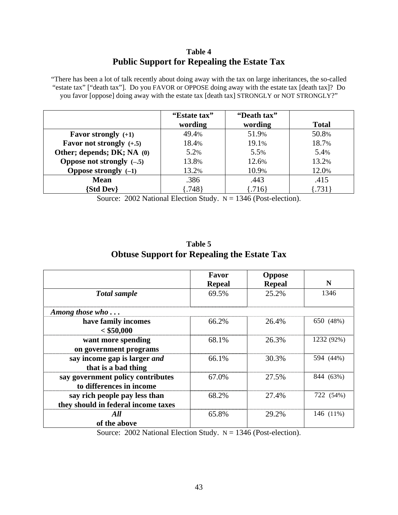# **Table 4 Public Support for Repealing the Estate Tax**

"There has been a lot of talk recently about doing away with the tax on large inheritances, the so-called "estate tax" ["death tax"]. Do you FAVOR or OPPOSE doing away with the estate tax [death tax]? Do you favor [oppose] doing away with the estate tax [death tax] STRONGLY or NOT STRONGLY?"

|                              | "Estate tax"<br>wording | "Death tax"<br>wording | <b>Total</b> |
|------------------------------|-------------------------|------------------------|--------------|
| <b>Favor strongly</b> $(+1)$ | 49.4%                   | 51.9%                  | 50.8%        |
| Favor not strongly $(+.5)$   | 18.4%                   | 19.1%                  | 18.7%        |
| Other; depends; DK; NA (0)   | 5.2%                    | 5.5%                   | 5.4%         |
| Oppose not strongly $(-.5)$  | 13.8%                   | 12.6%                  | 13.2%        |
| Oppose strongly $(-1)$       | 13.2%                   | 10.9%                  | 12.0%        |
| <b>Mean</b>                  | .386                    | .443                   | .415         |
| <b>Std Dev</b>               | .748                    | .716                   | [.731]       |

Source: 2002 National Election Study.  $N = 1346$  (Post-election).

| Table 5                                            |  |
|----------------------------------------------------|--|
| <b>Obtuse Support for Repealing the Estate Tax</b> |  |

|                                                                      | Favor<br><b>Repeal</b>        | <b>Oppose</b><br><b>Repeal</b> | N          |
|----------------------------------------------------------------------|-------------------------------|--------------------------------|------------|
| <b>Total</b> sample                                                  | 69.5%                         | 25.2%                          | 1346       |
| Among those $who \dots$                                              |                               |                                |            |
| have family incomes<br>$<$ \$50,000                                  | 66.2%                         | 26.4%                          | 650 (48%)  |
| want more spending<br>on government programs                         | 68.1%                         | 26.3%                          | 1232 (92%) |
| say income gap is larger and<br>that is a bad thing                  | 66.1%                         | 30.3%                          | 594 (44%)  |
| say government policy contributes<br>to differences in income        | 67.0%                         | 27.5%                          | 844 (63%)  |
| say rich people pay less than<br>they should in federal income taxes | 68.2%                         | 27.4%                          | 722 (54%)  |
| All<br>of the above                                                  | 65.8%                         | 29.2%                          | 146 (11%)  |
| 0.00011<br>1.771                                                     | $\alpha$ , $\alpha$ , $\beta$ | $1012 \times 22 \times 11$     |            |

Source: 2002 National Election Study.  $N = 1346$  (Post-election).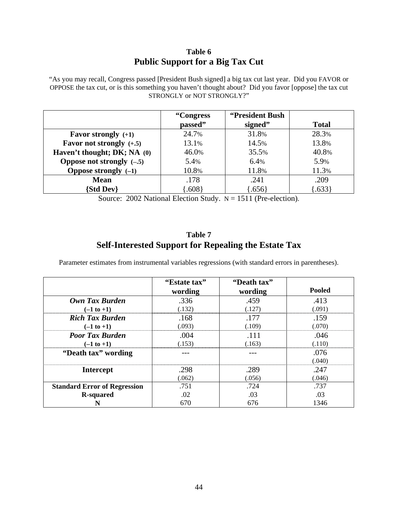# **Table 6 Public Support for a Big Tax Cut**

"As you may recall, Congress passed [President Bush signed] a big tax cut last year. Did you FAVOR or OPPOSE the tax cut, or is this something you haven't thought about? Did you favor [oppose] the tax cut STRONGLY or NOT STRONGLY?"

|                                   | "Congress"<br>passed" | "President Bush<br>signed" | <b>Total</b> |
|-----------------------------------|-----------------------|----------------------------|--------------|
| <b>Favor strongly</b> $(+1)$      | 24.7%                 | 31.8%                      | 28.3%        |
| <b>Favor not strongly</b> $(+.5)$ | 13.1%                 | 14.5%                      | 13.8%        |
| Haven't thought; DK; NA (0)       | 46.0%                 | 35.5%                      | 40.8%        |
| Oppose not strongly $(-.5)$       | 5.4%                  | 6.4%                       | 5.9%         |
| Oppose strongly $(-1)$            | 10.8%                 | 11.8%                      | 11.3%        |
| <b>Mean</b>                       | .178                  | .241                       | .209         |
| <b>Std Dev</b>                    | .608                  | $.656\}$                   | $\{.633\}$   |

Source:  $2002$  National Election Study.  $N = 1511$  (Pre-election).

### **Table 7 Self-Interested Support for Repealing the Estate Tax**

Parameter estimates from instrumental variables regressions (with standard errors in parentheses).

|                                     | "Estate tax" | "Death tax" |               |
|-------------------------------------|--------------|-------------|---------------|
|                                     | wording      | wording     | <b>Pooled</b> |
| Own Tax Burden                      | .336         | .459        | .413          |
| $(-1 to +1)$                        | (.132)       | (.127)      | (.091)        |
| <b>Rich Tax Burden</b>              | .168         | .177        | .159          |
| $(-1 \text{ to } +1)$               | (.093)       | (.109)      | (.070)        |
| <b>Poor Tax Burden</b>              | .004         | .111        | .046          |
| $(-1 to +1)$                        | (.153)       | (.163)      | (.110)        |
| "Death tax" wording                 |              |             | .076          |
|                                     |              |             | (.040)        |
| <b>Intercept</b>                    | .298         | .289        | .247          |
|                                     | (.062)       | (.056)      | (.046)        |
| <b>Standard Error of Regression</b> | .751         | .724        | .737          |
| <b>R-squared</b>                    | .02          | .03         | .03           |
|                                     | 670          | 676         | 1346          |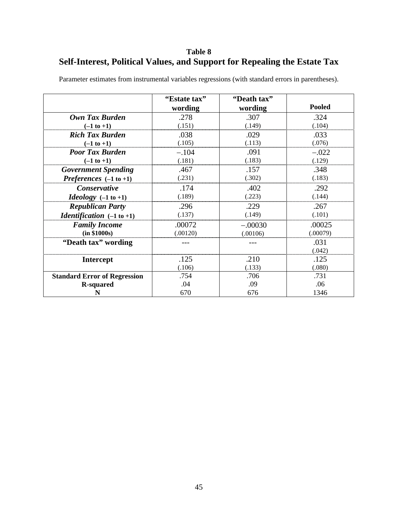# **Table 8 Self-Interest, Political Values, and Support for Repealing the Estate Tax**

|                                             | "Estate tax" | "Death tax" |               |
|---------------------------------------------|--------------|-------------|---------------|
|                                             | wording      | wording     | <b>Pooled</b> |
| Own Tax Burden                              | .278         | .307        | .324          |
| $(-1 \text{ to } +1)$                       | (.151)       | (.149)      | (.104)        |
| <b>Rich Tax Burden</b>                      | .038         | .029        | .033          |
| $(-1 to +1)$                                | (.105)       | (.113)      | (.076)        |
| <b>Poor Tax Burden</b>                      | $-.104$      | .091        | $-.022$       |
| $(-1 \text{ to } +1)$                       | (.181)       | (.183)      | (.129)        |
| <b>Government Spending</b>                  | .467         | .157        | .348          |
| Preferences $(-1 \text{ to } +1)$           | (.231)       | (.302)      | (.183)        |
| Conservative                                | .174         | .402        | .292          |
| <i>Ideology</i> $(-1 \text{ to } +1)$       | (.189)       | (.223)      | (.144)        |
| <b>Republican Party</b>                     | .296         | .229        | .267          |
| <i>Identification</i> $(-1 \text{ to } +1)$ | (.137)       | (.149)      | (.101)        |
| <b>Family Income</b>                        | .00072       | $-.00030$   | .00025        |
| (in \$1000s)                                | (.00120)     | (.00106)    | (.00079)      |
| "Death tax" wording                         |              |             | .031          |
|                                             |              |             | (.042)        |
| <b>Intercept</b>                            | .125         | .210        | .125          |
|                                             | (.106)       | (.133)      | (.080)        |
| <b>Standard Error of Regression</b>         | .754         | .706        | .731          |
| <b>R-squared</b>                            | .04          | .09         | .06           |
| N                                           | 670          | 676         | 1346          |

Parameter estimates from instrumental variables regressions (with standard errors in parentheses).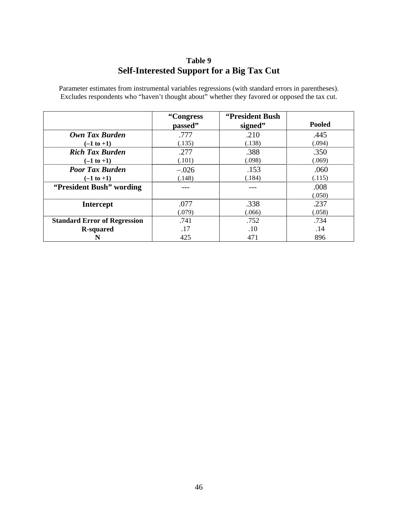# **Table 9 Self-Interested Support for a Big Tax Cut**

Parameter estimates from instrumental variables regressions (with standard errors in parentheses). Excludes respondents who "haven't thought about" whether they favored or opposed the tax cut.

|                                     | "Congress"<br>passed" | "President Bush"<br>signed" | <b>Pooled</b>  |
|-------------------------------------|-----------------------|-----------------------------|----------------|
| Own Tax Burden                      | .777                  | .210                        | .445           |
| $(-1 \text{ to } +1)$               | (.135)                | (.138)                      | (.094)         |
| <b>Rich Tax Burden</b>              | .277                  | .388                        | .350           |
| $(-1 \text{ to } +1)$               | (.101)                | (.098)                      | (.069)         |
| <b>Poor Tax Burden</b>              | $-.026$               | .153                        | .060           |
| $(-1 to +1)$                        | (.148)                | (.184)                      | (.115)         |
| "President Bush" wording            |                       |                             | .008<br>(.050) |
| <b>Intercept</b>                    | .077                  | .338                        | .237           |
|                                     | (.079)                | (.066)                      | (.058)         |
| <b>Standard Error of Regression</b> | .741                  | .752                        | .734           |
| <b>R-squared</b>                    | .17                   | .10                         | .14            |
|                                     | 425                   | 471                         | 896            |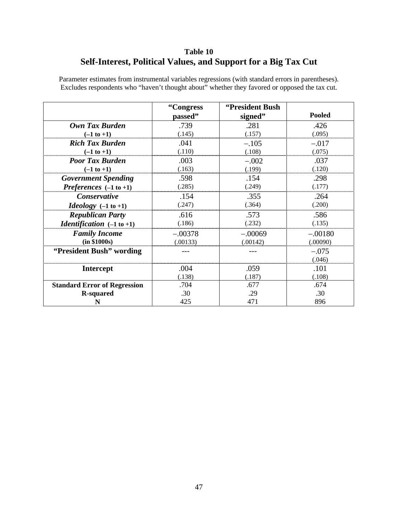# **Table 10 Self-Interest, Political Values, and Support for a Big Tax Cut**

|                                             | "Congress" | "President Bush |               |
|---------------------------------------------|------------|-----------------|---------------|
|                                             | passed"    | signed"         | <b>Pooled</b> |
| Own Tax Burden                              | .739       | .281            | .426          |
| $(-1 \text{ to } +1)$                       | (.145)     | (.157)          | (.095)        |
| <b>Rich Tax Burden</b>                      | .041       | $-.105$         | $-.017$       |
| $(-1 to +1)$                                | (.110)     | (.108)          | (.075)        |
| <b>Poor Tax Burden</b>                      | .003       | $-.002$         | .037          |
| $(-1 to +1)$                                | (.163)     | (.199)          | (.120)        |
| <b>Government Spending</b>                  | .598       | .154            | .298          |
| Preferences $(-1 \text{ to } +1)$           | (.285)     | (.249)          | (.177)        |
| Conservative                                | .154       | .355            | .264          |
| <i>Ideology</i> $(-1 \text{ to } +1)$       | (.247)     | (.364)          | (.200)        |
| <b>Republican Party</b>                     | .616       | .573            | .586          |
| <i>Identification</i> $(-1 \text{ to } +1)$ | (.186)     | (.232)          | (.135)        |
| <b>Family Income</b>                        | $-.00378$  | $-.00069$       | $-.00180$     |
| (in \$1000s)                                | (.00133)   | (.00142)        | (.00090)      |
| "President Bush" wording                    |            |                 | $-.075$       |
|                                             |            |                 | (.046)        |
| <b>Intercept</b>                            | .004       | .059            | .101          |
|                                             | (.138)     | (.187)          | (.108)        |
| <b>Standard Error of Regression</b>         | .704       | .677            | .674          |
| <b>R-squared</b>                            | .30        | .29             | .30           |
| N                                           | 425        | 471             | 896           |

Parameter estimates from instrumental variables regressions (with standard errors in parentheses). Excludes respondents who "haven't thought about" whether they favored or opposed the tax cut.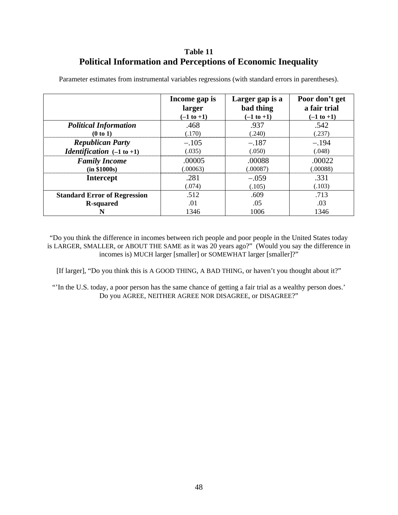# **Table 11 Political Information and Perceptions of Economic Inequality**

|                                             | Income gap is | Larger gap is a | Poor don't get |
|---------------------------------------------|---------------|-----------------|----------------|
|                                             | larger        | bad thing       | a fair trial   |
|                                             | $(-1 to +1)$  | $(-1 to +1)$    | $(-1 to +1)$   |
| <b>Political Information</b>                | .468          | .937            | .542           |
| (0 to 1)                                    | (.170)        | (.240)          | (.237)         |
| <b>Republican Party</b>                     | $-.105$       | $-.187$         | $-.194$        |
| <i>Identification</i> $(-1 \text{ to } +1)$ | (.035)        | (.050)          | (.048)         |
| <b>Family Income</b>                        | .00005        | .00088          | .00022         |
| (in \$1000s)                                | (.00063)      | (.00087)        | (.00088)       |
| <b>Intercept</b>                            | .281          | $-.059$         | .331           |
|                                             | (.074)        | (.105)          | (.103)         |
| <b>Standard Error of Regression</b>         | .512          | .609            | .713           |
| <b>R-squared</b>                            | .01           | .05             | .03            |
|                                             | 1346          | 1006            | 1346           |

Parameter estimates from instrumental variables regressions (with standard errors in parentheses).

"Do you think the difference in incomes between rich people and poor people in the United States today is LARGER, SMALLER, or ABOUT THE SAME as it was 20 years ago?" (Would you say the difference in incomes is) MUCH larger [smaller] or SOMEWHAT larger [smaller]?"

[If larger], "Do you think this is A GOOD THING, A BAD THING, or haven't you thought about it?"

"'In the U.S. today, a poor person has the same chance of getting a fair trial as a wealthy person does.' Do you AGREE, NEITHER AGREE NOR DISAGREE, or DISAGREE?"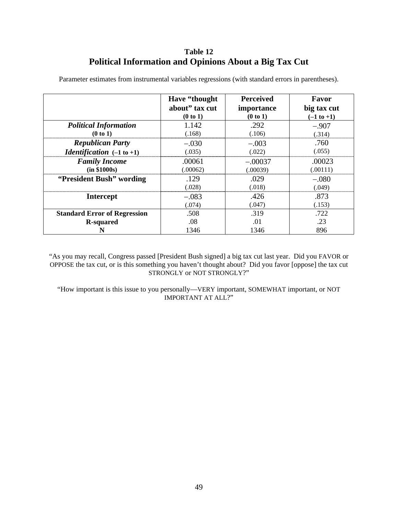# **Table 12 Political Information and Opinions About a Big Tax Cut**

|                                             | Have "thought" | <b>Perceived</b> | Favor        |
|---------------------------------------------|----------------|------------------|--------------|
|                                             | about" tax cut | importance       | big tax cut  |
|                                             | (0 to 1)       | (0 to 1)         | $(-1 to +1)$ |
| <b>Political Information</b>                | 1.142          | .292             | $-.907$      |
| (0 to 1)                                    | (.168)         | (.106)           | (.314)       |
| <b>Republican Party</b>                     | $-.030$        | $-.003$          | .760         |
| <i>Identification</i> $(-1 \text{ to } +1)$ | (.035)         | (.022)           | (.055)       |
| <b>Family Income</b>                        | .00061         | $-.00037$        | .00023       |
| (in \$1000s)                                | (.00062)       | (.00039)         | (.00111)     |
| "President Bush" wording                    | .129           | .029             | $-.080$      |
|                                             | (.028)         | (.018)           | (.049)       |
| <b>Intercept</b>                            | $-.083$        | .426             | .873         |
|                                             | (.074)         | (.047)           | (.153)       |
| <b>Standard Error of Regression</b>         | .508           | .319             | .722         |
| <b>R-squared</b>                            | .08            | .01              | .23          |
| N                                           | 1346           | 1346             | 896          |

Parameter estimates from instrumental variables regressions (with standard errors in parentheses).

"As you may recall, Congress passed [President Bush signed] a big tax cut last year. Did you FAVOR or OPPOSE the tax cut, or is this something you haven't thought about? Did you favor [oppose] the tax cut STRONGLY or NOT STRONGLY?"

"How important is this issue to you personally—VERY important, SOMEWHAT important, or NOT IMPORTANT AT ALL?"